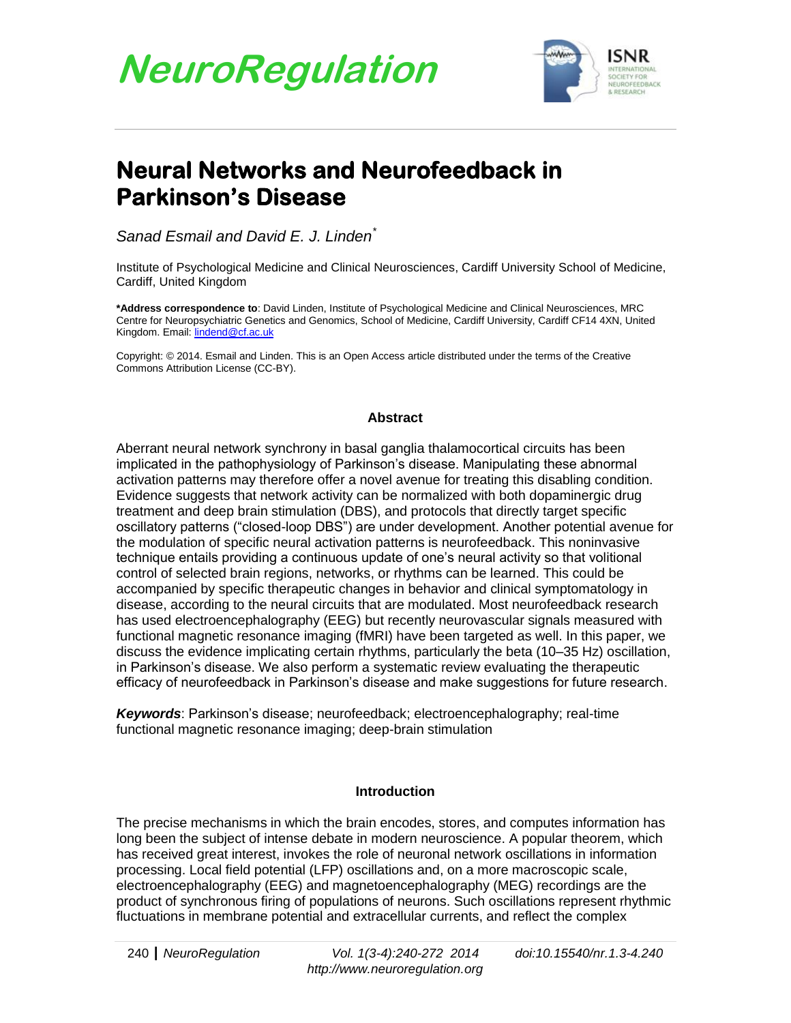

## **Neural Networks and Neurofeedback in Parkinson's Disease**

*Sanad Esmail and David E. J. Linden\**

Institute of Psychological Medicine and Clinical Neurosciences, Cardiff University School of Medicine, Cardiff, United Kingdom

**\*Address correspondence to**: David Linden, Institute of Psychological Medicine and Clinical Neurosciences, MRC Centre for Neuropsychiatric Genetics and Genomics, School of Medicine, Cardiff University, Cardiff CF14 4XN, United Kingdom. Email[: lindend@cf.ac.uk](mailto:lindend@cf.ac.uk)

Copyright: © 2014. Esmail and Linden. This is an Open Access article distributed under the terms of the Creative Commons Attribution License (CC-BY).

#### **Abstract**

Aberrant neural network synchrony in basal ganglia thalamocortical circuits has been implicated in the pathophysiology of Parkinson's disease. Manipulating these abnormal activation patterns may therefore offer a novel avenue for treating this disabling condition. Evidence suggests that network activity can be normalized with both dopaminergic drug treatment and deep brain stimulation (DBS), and protocols that directly target specific oscillatory patterns ("closed-loop DBS") are under development. Another potential avenue for the modulation of specific neural activation patterns is neurofeedback. This noninvasive technique entails providing a continuous update of one's neural activity so that volitional control of selected brain regions, networks, or rhythms can be learned. This could be accompanied by specific therapeutic changes in behavior and clinical symptomatology in disease, according to the neural circuits that are modulated. Most neurofeedback research has used electroencephalography (EEG) but recently neurovascular signals measured with functional magnetic resonance imaging (fMRI) have been targeted as well. In this paper, we discuss the evidence implicating certain rhythms, particularly the beta (10–35 Hz) oscillation, in Parkinson's disease. We also perform a systematic review evaluating the therapeutic efficacy of neurofeedback in Parkinson's disease and make suggestions for future research.

*Keywords*: Parkinson's disease; neurofeedback; electroencephalography; real-time functional magnetic resonance imaging; deep-brain stimulation

#### **Introduction**

The precise mechanisms in which the brain encodes, stores, and computes information has long been the subject of intense debate in modern neuroscience. A popular theorem, which has received great interest, invokes the role of neuronal network oscillations in information processing. Local field potential (LFP) oscillations and, on a more macroscopic scale, electroencephalography (EEG) and magnetoencephalography (MEG) recordings are the product of synchronous firing of populations of neurons. Such oscillations represent rhythmic fluctuations in membrane potential and extracellular currents, and reflect the complex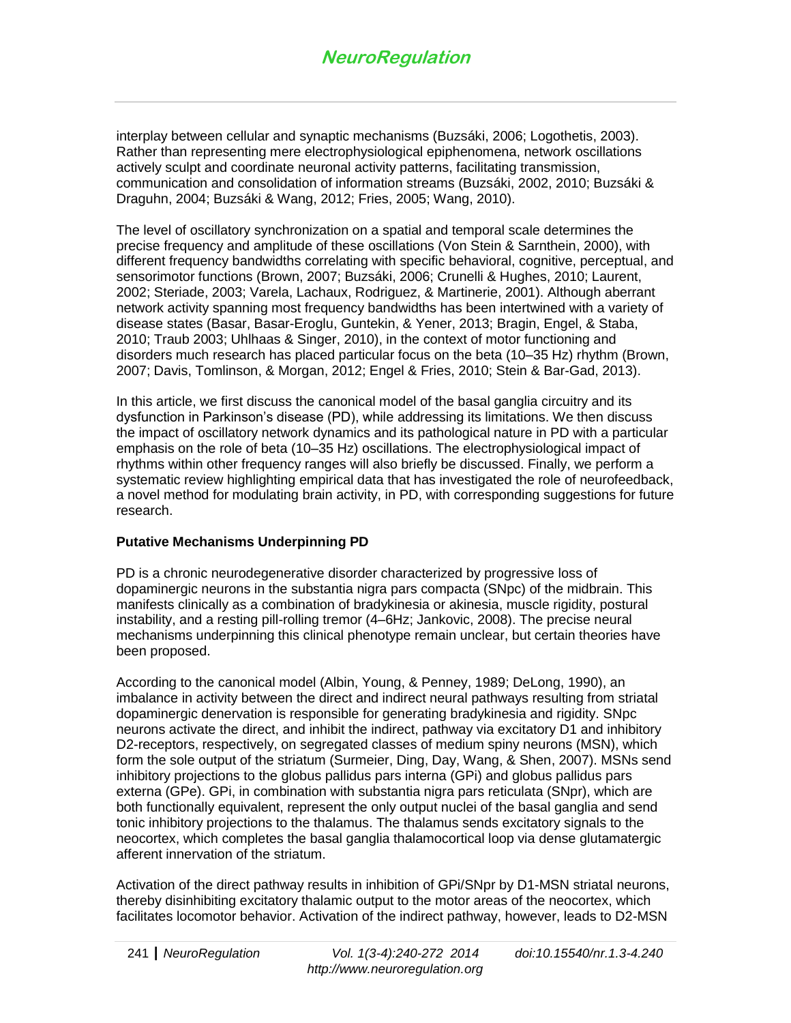interplay between cellular and synaptic mechanisms (Buzsáki, 2006; Logothetis, 2003). Rather than representing mere electrophysiological epiphenomena, network oscillations actively sculpt and coordinate neuronal activity patterns, facilitating transmission, communication and consolidation of information streams (Buzsáki, 2002, 2010; Buzsáki & Draguhn, 2004; Buzsáki & Wang, 2012; Fries, 2005; Wang, 2010).

The level of oscillatory synchronization on a spatial and temporal scale determines the precise frequency and amplitude of these oscillations (Von Stein & Sarnthein, 2000), with different frequency bandwidths correlating with specific behavioral, cognitive, perceptual, and sensorimotor functions (Brown, 2007; Buzsáki, 2006; Crunelli & Hughes, 2010; Laurent, 2002; Steriade, 2003; Varela, Lachaux, Rodriguez, & Martinerie, 2001). Although aberrant network activity spanning most frequency bandwidths has been intertwined with a variety of disease states (Basar, Basar-Eroglu, Guntekin, & Yener, 2013; Bragin, Engel, & Staba, 2010; Traub 2003; Uhlhaas & Singer, 2010), in the context of motor functioning and disorders much research has placed particular focus on the beta (10–35 Hz) rhythm (Brown, 2007; Davis, Tomlinson, & Morgan, 2012; Engel & Fries, 2010; Stein & Bar-Gad, 2013).

In this article, we first discuss the canonical model of the basal ganglia circuitry and its dysfunction in Parkinson's disease (PD), while addressing its limitations. We then discuss the impact of oscillatory network dynamics and its pathological nature in PD with a particular emphasis on the role of beta (10–35 Hz) oscillations. The electrophysiological impact of rhythms within other frequency ranges will also briefly be discussed. Finally, we perform a systematic review highlighting empirical data that has investigated the role of neurofeedback, a novel method for modulating brain activity, in PD, with corresponding suggestions for future research.

#### **Putative Mechanisms Underpinning PD**

PD is a chronic neurodegenerative disorder characterized by progressive loss of dopaminergic neurons in the substantia nigra pars compacta (SNpc) of the midbrain. This manifests clinically as a combination of bradykinesia or akinesia, muscle rigidity, postural instability, and a resting pill-rolling tremor (4–6Hz; Jankovic, 2008). The precise neural mechanisms underpinning this clinical phenotype remain unclear, but certain theories have been proposed.

According to the canonical model (Albin, Young, & Penney, 1989; DeLong, 1990), an imbalance in activity between the direct and indirect neural pathways resulting from striatal dopaminergic denervation is responsible for generating bradykinesia and rigidity. SNpc neurons activate the direct, and inhibit the indirect, pathway via excitatory D1 and inhibitory D2-receptors, respectively, on segregated classes of medium spiny neurons (MSN), which form the sole output of the striatum (Surmeier, Ding, Day, Wang, & Shen, 2007). MSNs send inhibitory projections to the globus pallidus pars interna (GPi) and globus pallidus pars externa (GPe). GPi, in combination with substantia nigra pars reticulata (SNpr), which are both functionally equivalent, represent the only output nuclei of the basal ganglia and send tonic inhibitory projections to the thalamus. The thalamus sends excitatory signals to the neocortex, which completes the basal ganglia thalamocortical loop via dense glutamatergic afferent innervation of the striatum.

Activation of the direct pathway results in inhibition of GPi/SNpr by D1-MSN striatal neurons, thereby disinhibiting excitatory thalamic output to the motor areas of the neocortex, which facilitates locomotor behavior. Activation of the indirect pathway, however, leads to D2-MSN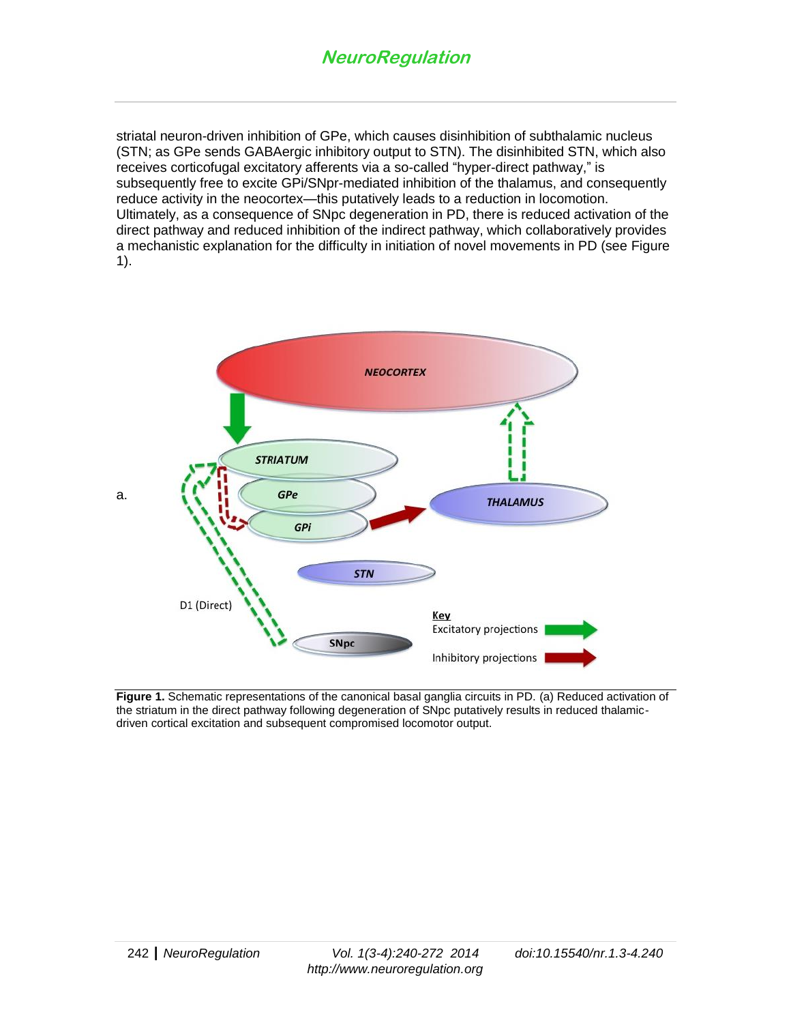striatal neuron-driven inhibition of GPe, which causes disinhibition of subthalamic nucleus (STN; as GPe sends GABAergic inhibitory output to STN). The disinhibited STN, which also receives corticofugal excitatory afferents via a so-called "hyper-direct pathway," is subsequently free to excite GPi/SNpr-mediated inhibition of the thalamus, and consequently reduce activity in the neocortex—this putatively leads to a reduction in locomotion. Ultimately, as a consequence of SNpc degeneration in PD, there is reduced activation of the direct pathway and reduced inhibition of the indirect pathway, which collaboratively provides a mechanistic explanation for the difficulty in initiation of novel movements in PD (see Figure 1).



**Figure 1.** Schematic representations of the canonical basal ganglia circuits in PD. (a) Reduced activation of the striatum in the direct pathway following degeneration of SNpc putatively results in reduced thalamicdriven cortical excitation and subsequent compromised locomotor output.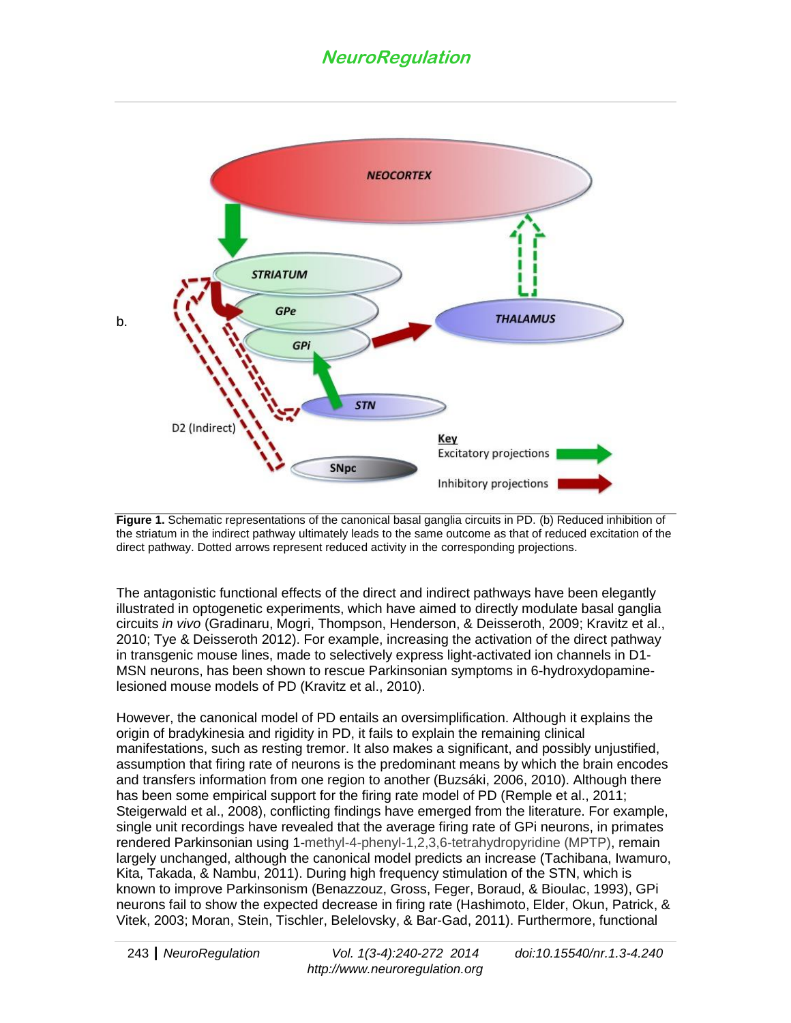

**Figure 1.** Schematic representations of the canonical basal ganglia circuits in PD. (b) Reduced inhibition of the striatum in the indirect pathway ultimately leads to the same outcome as that of reduced excitation of the direct pathway. Dotted arrows represent reduced activity in the corresponding projections.

The antagonistic functional effects of the direct and indirect pathways have been elegantly illustrated in optogenetic experiments, which have aimed to directly modulate basal ganglia circuits *in vivo* (Gradinaru, Mogri, Thompson, Henderson, & Deisseroth, 2009; Kravitz et al., 2010; Tye & Deisseroth 2012). For example, increasing the activation of the direct pathway in transgenic mouse lines, made to selectively express light-activated ion channels in D1- MSN neurons, has been shown to rescue Parkinsonian symptoms in 6-hydroxydopaminelesioned mouse models of PD (Kravitz et al., 2010).

However, the canonical model of PD entails an oversimplification. Although it explains the origin of bradykinesia and rigidity in PD, it fails to explain the remaining clinical manifestations, such as resting tremor. It also makes a significant, and possibly unjustified, assumption that firing rate of neurons is the predominant means by which the brain encodes and transfers information from one region to another (Buzsáki, 2006, 2010). Although there has been some empirical support for the firing rate model of PD (Remple et al., 2011; Steigerwald et al., 2008), conflicting findings have emerged from the literature. For example, single unit recordings have revealed that the average firing rate of GPi neurons, in primates rendered Parkinsonian using 1-methyl-4-phenyl-1,2,3,6-tetrahydropyridine (MPTP), remain largely unchanged, although the canonical model predicts an increase (Tachibana, Iwamuro, Kita, Takada, & Nambu, 2011). During high frequency stimulation of the STN, which is known to improve Parkinsonism (Benazzouz, Gross, Feger, Boraud, & Bioulac, 1993), GPi neurons fail to show the expected decrease in firing rate (Hashimoto, Elder, Okun, Patrick, & Vitek, 2003; Moran, Stein, Tischler, Belelovsky, & Bar-Gad, 2011). Furthermore, functional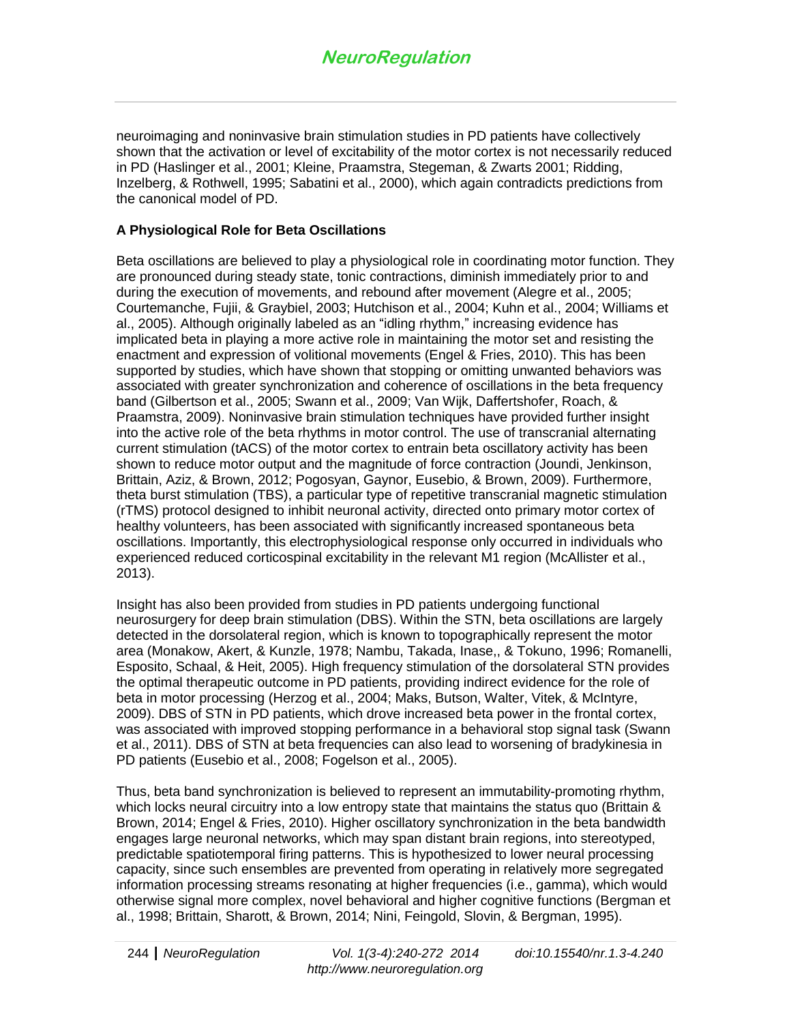neuroimaging and noninvasive brain stimulation studies in PD patients have collectively shown that the activation or level of excitability of the motor cortex is not necessarily reduced in PD (Haslinger et al., 2001; Kleine, Praamstra, Stegeman, & Zwarts 2001; Ridding, Inzelberg, & Rothwell, 1995; Sabatini et al., 2000), which again contradicts predictions from the canonical model of PD.

#### **A Physiological Role for Beta Oscillations**

Beta oscillations are believed to play a physiological role in coordinating motor function. They are pronounced during steady state, tonic contractions, diminish immediately prior to and during the execution of movements, and rebound after movement (Alegre et al., 2005; Courtemanche, Fujii, & Graybiel, 2003; Hutchison et al., 2004; Kuhn et al., 2004; Williams et al., 2005). Although originally labeled as an "idling rhythm," increasing evidence has implicated beta in playing a more active role in maintaining the motor set and resisting the enactment and expression of volitional movements (Engel & Fries, 2010). This has been supported by studies, which have shown that stopping or omitting unwanted behaviors was associated with greater synchronization and coherence of oscillations in the beta frequency band (Gilbertson et al., 2005; Swann et al., 2009; Van Wijk, Daffertshofer, Roach, & Praamstra, 2009). Noninvasive brain stimulation techniques have provided further insight into the active role of the beta rhythms in motor control. The use of transcranial alternating current stimulation (tACS) of the motor cortex to entrain beta oscillatory activity has been shown to reduce motor output and the magnitude of force contraction (Joundi, Jenkinson, Brittain, Aziz, & Brown, 2012; Pogosyan, Gaynor, Eusebio, & Brown, 2009). Furthermore, theta burst stimulation (TBS), a particular type of repetitive transcranial magnetic stimulation (rTMS) protocol designed to inhibit neuronal activity, directed onto primary motor cortex of healthy volunteers, has been associated with significantly increased spontaneous beta oscillations. Importantly, this electrophysiological response only occurred in individuals who experienced reduced corticospinal excitability in the relevant M1 region (McAllister et al., 2013).

Insight has also been provided from studies in PD patients undergoing functional neurosurgery for deep brain stimulation (DBS). Within the STN, beta oscillations are largely detected in the dorsolateral region, which is known to topographically represent the motor area (Monakow, Akert, & Kunzle, 1978; Nambu, Takada, Inase,, & Tokuno, 1996; Romanelli, Esposito, Schaal, & Heit, 2005). High frequency stimulation of the dorsolateral STN provides the optimal therapeutic outcome in PD patients, providing indirect evidence for the role of beta in motor processing (Herzog et al., 2004; Maks, Butson, Walter, Vitek, & McIntyre, 2009). DBS of STN in PD patients, which drove increased beta power in the frontal cortex, was associated with improved stopping performance in a behavioral stop signal task (Swann et al., 2011). DBS of STN at beta frequencies can also lead to worsening of bradykinesia in PD patients (Eusebio et al., 2008; Fogelson et al., 2005).

Thus, beta band synchronization is believed to represent an immutability-promoting rhythm, which locks neural circuitry into a low entropy state that maintains the status quo (Brittain & Brown, 2014; Engel & Fries, 2010). Higher oscillatory synchronization in the beta bandwidth engages large neuronal networks, which may span distant brain regions, into stereotyped, predictable spatiotemporal firing patterns. This is hypothesized to lower neural processing capacity, since such ensembles are prevented from operating in relatively more segregated information processing streams resonating at higher frequencies (i.e., gamma), which would otherwise signal more complex, novel behavioral and higher cognitive functions (Bergman et al., 1998; Brittain, Sharott, & Brown, 2014; Nini, Feingold, Slovin, & Bergman, 1995).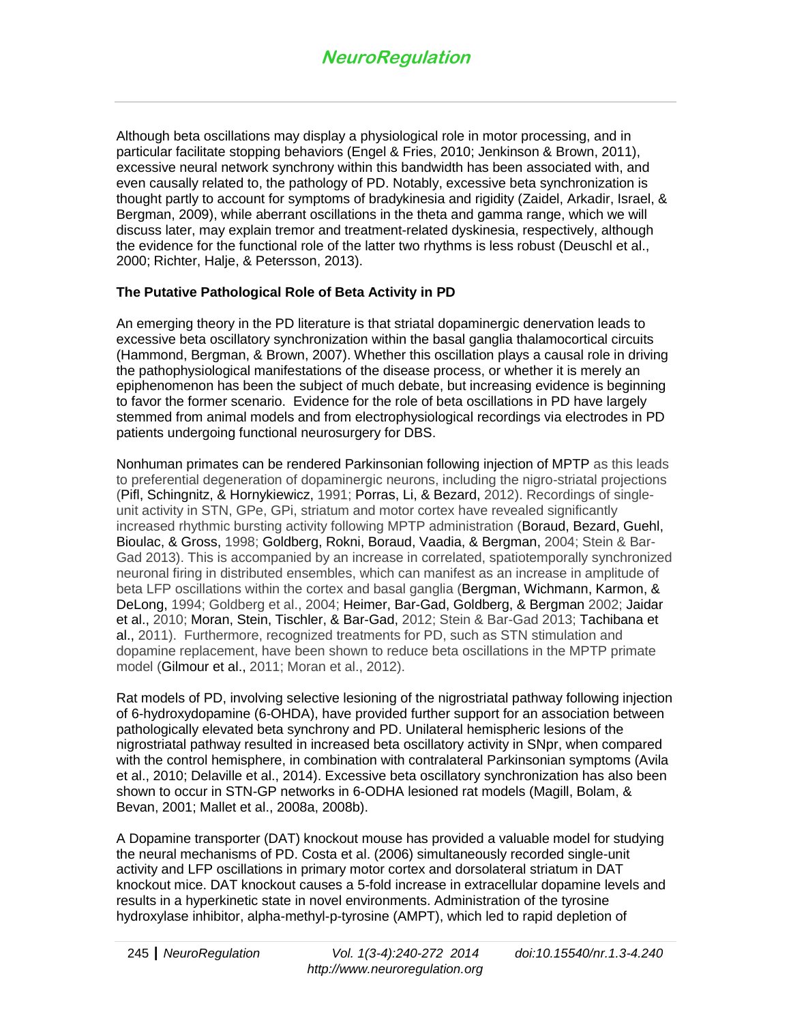Although beta oscillations may display a physiological role in motor processing, and in particular facilitate stopping behaviors (Engel & Fries, 2010; Jenkinson & Brown, 2011), excessive neural network synchrony within this bandwidth has been associated with, and even causally related to, the pathology of PD. Notably, excessive beta synchronization is thought partly to account for symptoms of bradykinesia and rigidity (Zaidel, Arkadir, Israel, & Bergman, 2009), while aberrant oscillations in the theta and gamma range, which we will discuss later, may explain tremor and treatment-related dyskinesia, respectively, although the evidence for the functional role of the latter two rhythms is less robust (Deuschl et al., 2000; Richter, Halje, & Petersson, 2013).

## **The Putative Pathological Role of Beta Activity in PD**

An emerging theory in the PD literature is that striatal dopaminergic denervation leads to excessive beta oscillatory synchronization within the basal ganglia thalamocortical circuits (Hammond, Bergman, & Brown, 2007). Whether this oscillation plays a causal role in driving the pathophysiological manifestations of the disease process, or whether it is merely an epiphenomenon has been the subject of much debate, but increasing evidence is beginning to favor the former scenario. Evidence for the role of beta oscillations in PD have largely stemmed from animal models and from electrophysiological recordings via electrodes in PD patients undergoing functional neurosurgery for DBS.

Nonhuman primates can be rendered Parkinsonian following injection of MPTP as this leads to preferential degeneration of dopaminergic neurons, including the nigro-striatal projections (Pifl, Schingnitz, & Hornykiewicz, 1991; Porras, Li, & Bezard, 2012). Recordings of singleunit activity in STN, GPe, GPi, striatum and motor cortex have revealed significantly increased rhythmic bursting activity following MPTP administration (Boraud, Bezard, Guehl, Bioulac, & Gross, 1998; Goldberg, Rokni, Boraud, Vaadia, & Bergman, 2004; Stein & Bar-Gad 2013). This is accompanied by an increase in correlated, spatiotemporally synchronized neuronal firing in distributed ensembles, which can manifest as an increase in amplitude of beta LFP oscillations within the cortex and basal ganglia (Bergman, Wichmann, Karmon, & DeLong, 1994; Goldberg et al., 2004; Heimer, Bar-Gad, Goldberg, & Bergman 2002; Jaidar et al., 2010; Moran, Stein, Tischler, & Bar-Gad, 2012; Stein & Bar-Gad 2013; Tachibana et al., 2011). Furthermore, recognized treatments for PD, such as STN stimulation and dopamine replacement, have been shown to reduce beta oscillations in the MPTP primate model (Gilmour et al., 2011; Moran et al., 2012).

Rat models of PD, involving selective lesioning of the nigrostriatal pathway following injection of 6-hydroxydopamine (6-OHDA), have provided further support for an association between pathologically elevated beta synchrony and PD. Unilateral hemispheric lesions of the nigrostriatal pathway resulted in increased beta oscillatory activity in SNpr, when compared with the control hemisphere, in combination with contralateral Parkinsonian symptoms (Avila et al., 2010; Delaville et al., 2014). Excessive beta oscillatory synchronization has also been shown to occur in STN-GP networks in 6-ODHA lesioned rat models (Magill, Bolam, & Bevan, 2001; Mallet et al., 2008a, 2008b).

A Dopamine transporter (DAT) knockout mouse has provided a valuable model for studying the neural mechanisms of PD. Costa et al. (2006) simultaneously recorded single-unit activity and LFP oscillations in primary motor cortex and dorsolateral striatum in DAT knockout mice. DAT knockout causes a 5-fold increase in extracellular dopamine levels and results in a hyperkinetic state in novel environments. Administration of the tyrosine hydroxylase inhibitor, alpha-methyl-p-tyrosine (AMPT), which led to rapid depletion of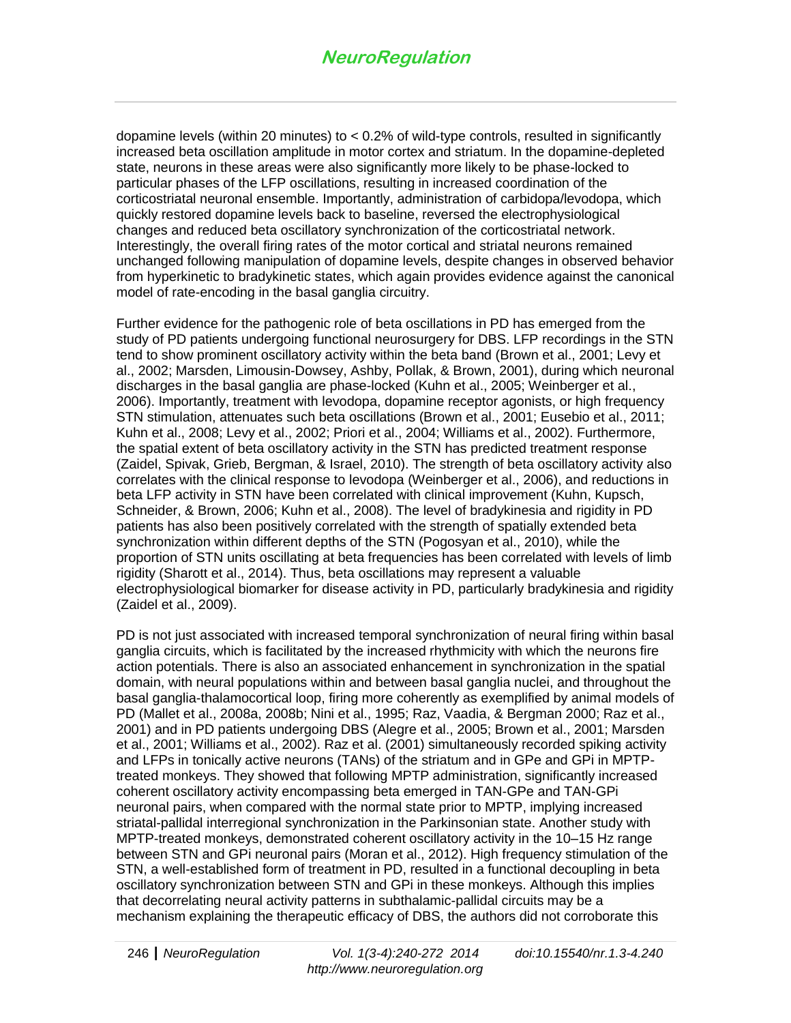dopamine levels (within 20 minutes) to < 0.2% of wild-type controls, resulted in significantly increased beta oscillation amplitude in motor cortex and striatum. In the dopamine-depleted state, neurons in these areas were also significantly more likely to be phase-locked to particular phases of the LFP oscillations, resulting in increased coordination of the corticostriatal neuronal ensemble. Importantly, administration of carbidopa/levodopa, which quickly restored dopamine levels back to baseline, reversed the electrophysiological changes and reduced beta oscillatory synchronization of the corticostriatal network. Interestingly, the overall firing rates of the motor cortical and striatal neurons remained unchanged following manipulation of dopamine levels, despite changes in observed behavior from hyperkinetic to bradykinetic states, which again provides evidence against the canonical model of rate-encoding in the basal ganglia circuitry.

Further evidence for the pathogenic role of beta oscillations in PD has emerged from the study of PD patients undergoing functional neurosurgery for DBS. LFP recordings in the STN tend to show prominent oscillatory activity within the beta band (Brown et al., 2001; Levy et al., 2002; Marsden, Limousin-Dowsey, Ashby, Pollak, & Brown, 2001), during which neuronal discharges in the basal ganglia are phase-locked (Kuhn et al., 2005; Weinberger et al., 2006). Importantly, treatment with levodopa, dopamine receptor agonists, or high frequency STN stimulation, attenuates such beta oscillations (Brown et al., 2001; Eusebio et al., 2011; Kuhn et al., 2008; Levy et al., 2002; Priori et al., 2004; Williams et al., 2002). Furthermore, the spatial extent of beta oscillatory activity in the STN has predicted treatment response (Zaidel, Spivak, Grieb, Bergman, & Israel, 2010). The strength of beta oscillatory activity also correlates with the clinical response to levodopa (Weinberger et al., 2006), and reductions in beta LFP activity in STN have been correlated with clinical improvement (Kuhn, Kupsch, Schneider, & Brown, 2006; Kuhn et al., 2008). The level of bradykinesia and rigidity in PD patients has also been positively correlated with the strength of spatially extended beta synchronization within different depths of the STN (Pogosyan et al., 2010), while the proportion of STN units oscillating at beta frequencies has been correlated with levels of limb rigidity (Sharott et al., 2014). Thus, beta oscillations may represent a valuable electrophysiological biomarker for disease activity in PD, particularly bradykinesia and rigidity (Zaidel et al., 2009).

PD is not just associated with increased temporal synchronization of neural firing within basal ganglia circuits, which is facilitated by the increased rhythmicity with which the neurons fire action potentials. There is also an associated enhancement in synchronization in the spatial domain, with neural populations within and between basal ganglia nuclei, and throughout the basal ganglia-thalamocortical loop, firing more coherently as exemplified by animal models of PD (Mallet et al., 2008a, 2008b; Nini et al., 1995; Raz, Vaadia, & Bergman 2000; Raz et al., 2001) and in PD patients undergoing DBS (Alegre et al., 2005; Brown et al., 2001; Marsden et al., 2001; Williams et al., 2002). Raz et al. (2001) simultaneously recorded spiking activity and LFPs in tonically active neurons (TANs) of the striatum and in GPe and GPi in MPTPtreated monkeys. They showed that following MPTP administration, significantly increased coherent oscillatory activity encompassing beta emerged in TAN-GPe and TAN-GPi neuronal pairs, when compared with the normal state prior to MPTP, implying increased striatal-pallidal interregional synchronization in the Parkinsonian state. Another study with MPTP-treated monkeys, demonstrated coherent oscillatory activity in the 10–15 Hz range between STN and GPi neuronal pairs (Moran et al., 2012). High frequency stimulation of the STN, a well-established form of treatment in PD, resulted in a functional decoupling in beta oscillatory synchronization between STN and GPi in these monkeys. Although this implies that decorrelating neural activity patterns in subthalamic-pallidal circuits may be a mechanism explaining the therapeutic efficacy of DBS, the authors did not corroborate this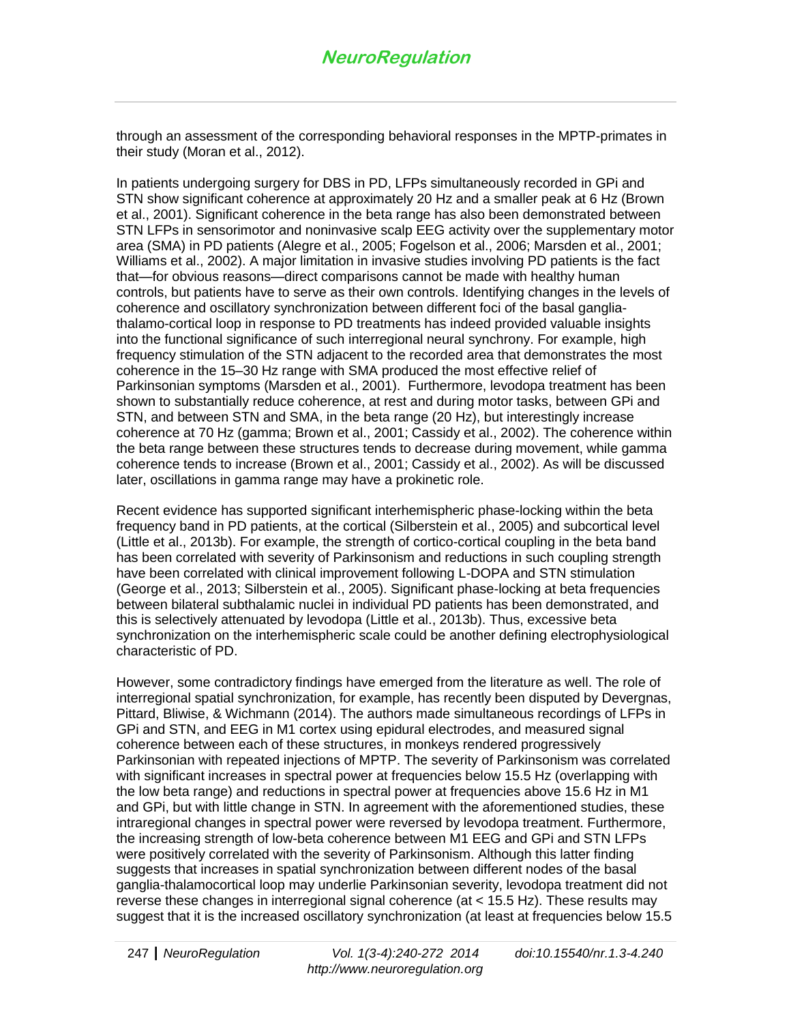through an assessment of the corresponding behavioral responses in the MPTP-primates in their study (Moran et al., 2012).

In patients undergoing surgery for DBS in PD, LFPs simultaneously recorded in GPi and STN show significant coherence at approximately 20 Hz and a smaller peak at 6 Hz (Brown et al., 2001). Significant coherence in the beta range has also been demonstrated between STN LFPs in sensorimotor and noninvasive scalp EEG activity over the supplementary motor area (SMA) in PD patients (Alegre et al., 2005; Fogelson et al., 2006; Marsden et al., 2001; Williams et al., 2002). A major limitation in invasive studies involving PD patients is the fact that—for obvious reasons—direct comparisons cannot be made with healthy human controls, but patients have to serve as their own controls. Identifying changes in the levels of coherence and oscillatory synchronization between different foci of the basal gangliathalamo-cortical loop in response to PD treatments has indeed provided valuable insights into the functional significance of such interregional neural synchrony. For example, high frequency stimulation of the STN adjacent to the recorded area that demonstrates the most coherence in the 15–30 Hz range with SMA produced the most effective relief of Parkinsonian symptoms (Marsden et al., 2001). Furthermore, levodopa treatment has been shown to substantially reduce coherence, at rest and during motor tasks, between GPi and STN, and between STN and SMA, in the beta range (20 Hz), but interestingly increase coherence at 70 Hz (gamma; Brown et al., 2001; Cassidy et al., 2002). The coherence within the beta range between these structures tends to decrease during movement, while gamma coherence tends to increase (Brown et al., 2001; Cassidy et al., 2002). As will be discussed later, oscillations in gamma range may have a prokinetic role.

Recent evidence has supported significant interhemispheric phase-locking within the beta frequency band in PD patients, at the cortical (Silberstein et al., 2005) and subcortical level (Little et al., 2013b). For example, the strength of cortico-cortical coupling in the beta band has been correlated with severity of Parkinsonism and reductions in such coupling strength have been correlated with clinical improvement following L-DOPA and STN stimulation (George et al., 2013; Silberstein et al., 2005). Significant phase-locking at beta frequencies between bilateral subthalamic nuclei in individual PD patients has been demonstrated, and this is selectively attenuated by levodopa (Little et al., 2013b). Thus, excessive beta synchronization on the interhemispheric scale could be another defining electrophysiological characteristic of PD.

However, some contradictory findings have emerged from the literature as well. The role of interregional spatial synchronization, for example, has recently been disputed by Devergnas, Pittard, Bliwise, & Wichmann (2014). The authors made simultaneous recordings of LFPs in GPi and STN, and EEG in M1 cortex using epidural electrodes, and measured signal coherence between each of these structures, in monkeys rendered progressively Parkinsonian with repeated injections of MPTP. The severity of Parkinsonism was correlated with significant increases in spectral power at frequencies below 15.5 Hz (overlapping with the low beta range) and reductions in spectral power at frequencies above 15.6 Hz in M1 and GPi, but with little change in STN. In agreement with the aforementioned studies, these intraregional changes in spectral power were reversed by levodopa treatment. Furthermore, the increasing strength of low-beta coherence between M1 EEG and GPi and STN LFPs were positively correlated with the severity of Parkinsonism. Although this latter finding suggests that increases in spatial synchronization between different nodes of the basal ganglia-thalamocortical loop may underlie Parkinsonian severity, levodopa treatment did not reverse these changes in interregional signal coherence (at < 15.5 Hz). These results may suggest that it is the increased oscillatory synchronization (at least at frequencies below 15.5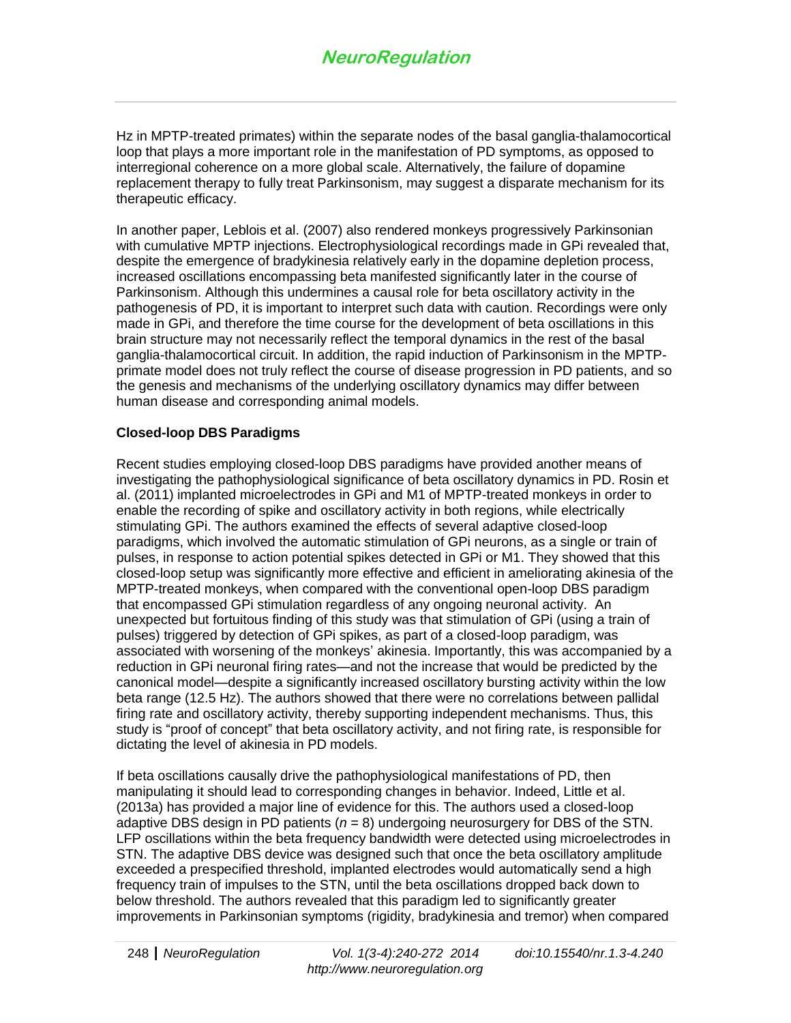Hz in MPTP-treated primates) within the separate nodes of the basal ganglia-thalamocortical loop that plays a more important role in the manifestation of PD symptoms, as opposed to interregional coherence on a more global scale. Alternatively, the failure of dopamine replacement therapy to fully treat Parkinsonism, may suggest a disparate mechanism for its therapeutic efficacy.

In another paper, Leblois et al. (2007) also rendered monkeys progressively Parkinsonian with cumulative MPTP injections. Electrophysiological recordings made in GPi revealed that, despite the emergence of bradykinesia relatively early in the dopamine depletion process, increased oscillations encompassing beta manifested significantly later in the course of Parkinsonism. Although this undermines a causal role for beta oscillatory activity in the pathogenesis of PD, it is important to interpret such data with caution. Recordings were only made in GPi, and therefore the time course for the development of beta oscillations in this brain structure may not necessarily reflect the temporal dynamics in the rest of the basal ganglia-thalamocortical circuit. In addition, the rapid induction of Parkinsonism in the MPTPprimate model does not truly reflect the course of disease progression in PD patients, and so the genesis and mechanisms of the underlying oscillatory dynamics may differ between human disease and corresponding animal models.

#### **Closed-loop DBS Paradigms**

Recent studies employing closed-loop DBS paradigms have provided another means of investigating the pathophysiological significance of beta oscillatory dynamics in PD. Rosin et al. (2011) implanted microelectrodes in GPi and M1 of MPTP-treated monkeys in order to enable the recording of spike and oscillatory activity in both regions, while electrically stimulating GPi. The authors examined the effects of several adaptive closed-loop paradigms, which involved the automatic stimulation of GPi neurons, as a single or train of pulses, in response to action potential spikes detected in GPi or M1. They showed that this closed-loop setup was significantly more effective and efficient in ameliorating akinesia of the MPTP-treated monkeys, when compared with the conventional open-loop DBS paradigm that encompassed GPi stimulation regardless of any ongoing neuronal activity. An unexpected but fortuitous finding of this study was that stimulation of GPi (using a train of pulses) triggered by detection of GPi spikes, as part of a closed-loop paradigm, was associated with worsening of the monkeys' akinesia. Importantly, this was accompanied by a reduction in GPi neuronal firing rates—and not the increase that would be predicted by the canonical model—despite a significantly increased oscillatory bursting activity within the low beta range (12.5 Hz). The authors showed that there were no correlations between pallidal firing rate and oscillatory activity, thereby supporting independent mechanisms. Thus, this study is "proof of concept" that beta oscillatory activity, and not firing rate, is responsible for dictating the level of akinesia in PD models.

If beta oscillations causally drive the pathophysiological manifestations of PD, then manipulating it should lead to corresponding changes in behavior. Indeed, Little et al. (2013a) has provided a major line of evidence for this. The authors used a closed-loop adaptive DBS design in PD patients (*n* = 8) undergoing neurosurgery for DBS of the STN. LFP oscillations within the beta frequency bandwidth were detected using microelectrodes in STN. The adaptive DBS device was designed such that once the beta oscillatory amplitude exceeded a prespecified threshold, implanted electrodes would automatically send a high frequency train of impulses to the STN, until the beta oscillations dropped back down to below threshold. The authors revealed that this paradigm led to significantly greater improvements in Parkinsonian symptoms (rigidity, bradykinesia and tremor) when compared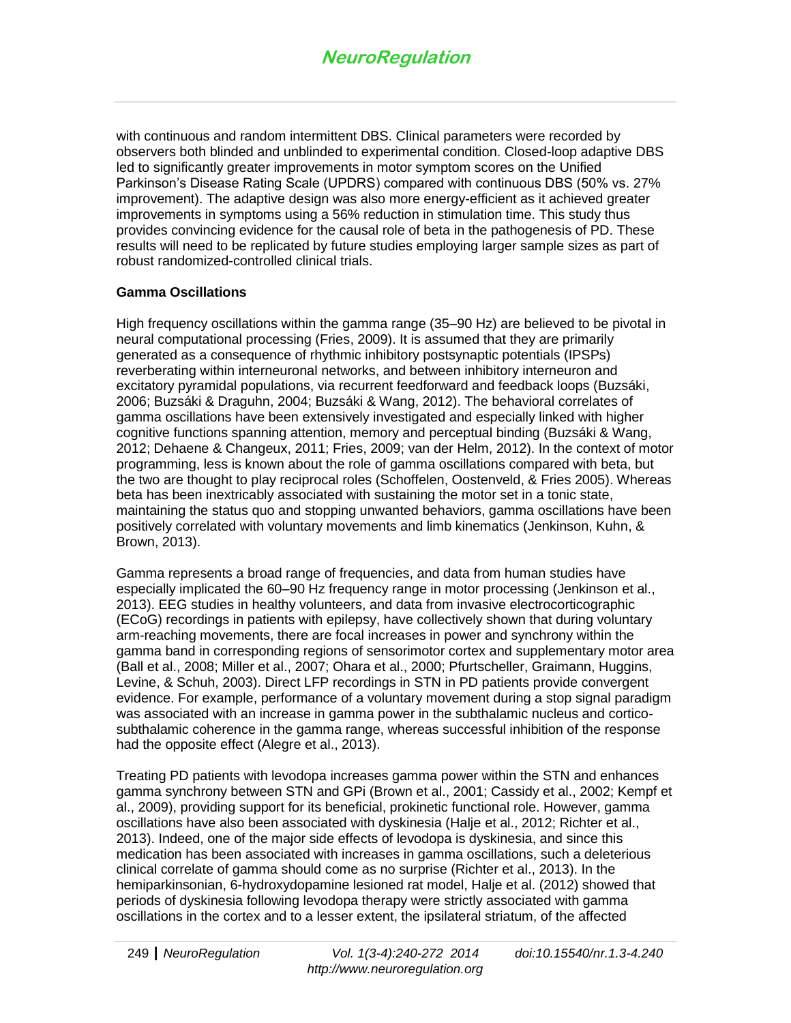with continuous and random intermittent DBS. Clinical parameters were recorded by observers both blinded and unblinded to experimental condition. Closed-loop adaptive DBS led to significantly greater improvements in motor symptom scores on the Unified Parkinson's Disease Rating Scale (UPDRS) compared with continuous DBS (50% vs. 27% improvement). The adaptive design was also more energy-efficient as it achieved greater improvements in symptoms using a 56% reduction in stimulation time. This study thus provides convincing evidence for the causal role of beta in the pathogenesis of PD. These results will need to be replicated by future studies employing larger sample sizes as part of robust randomized-controlled clinical trials.

#### **Gamma Oscillations**

High frequency oscillations within the gamma range (35–90 Hz) are believed to be pivotal in neural computational processing (Fries, 2009). It is assumed that they are primarily generated as a consequence of rhythmic inhibitory postsynaptic potentials (IPSPs) reverberating within interneuronal networks, and between inhibitory interneuron and excitatory pyramidal populations, via recurrent feedforward and feedback loops (Buzsáki, 2006; Buzsáki & Draguhn, 2004; Buzsáki & Wang, 2012). The behavioral correlates of gamma oscillations have been extensively investigated and especially linked with higher cognitive functions spanning attention, memory and perceptual binding (Buzsáki & Wang, 2012; Dehaene & Changeux, 2011; Fries, 2009; van der Helm, 2012). In the context of motor programming, less is known about the role of gamma oscillations compared with beta, but the two are thought to play reciprocal roles (Schoffelen, Oostenveld, & Fries 2005). Whereas beta has been inextricably associated with sustaining the motor set in a tonic state, maintaining the status quo and stopping unwanted behaviors, gamma oscillations have been positively correlated with voluntary movements and limb kinematics (Jenkinson, Kuhn, & Brown, 2013).

Gamma represents a broad range of frequencies, and data from human studies have especially implicated the 60–90 Hz frequency range in motor processing (Jenkinson et al., 2013). EEG studies in healthy volunteers, and data from invasive electrocorticographic (ECoG) recordings in patients with epilepsy, have collectively shown that during voluntary arm-reaching movements, there are focal increases in power and synchrony within the gamma band in corresponding regions of sensorimotor cortex and supplementary motor area (Ball et al., 2008; Miller et al., 2007; Ohara et al., 2000; Pfurtscheller, Graimann, Huggins, Levine, & Schuh, 2003). Direct LFP recordings in STN in PD patients provide convergent evidence. For example, performance of a voluntary movement during a stop signal paradigm was associated with an increase in gamma power in the subthalamic nucleus and corticosubthalamic coherence in the gamma range, whereas successful inhibition of the response had the opposite effect (Alegre et al., 2013).

Treating PD patients with levodopa increases gamma power within the STN and enhances gamma synchrony between STN and GPi (Brown et al., 2001; Cassidy et al., 2002; Kempf et al., 2009), providing support for its beneficial, prokinetic functional role. However, gamma oscillations have also been associated with dyskinesia (Halje et al., 2012; Richter et al., 2013). Indeed, one of the major side effects of levodopa is dyskinesia, and since this medication has been associated with increases in gamma oscillations, such a deleterious clinical correlate of gamma should come as no surprise (Richter et al., 2013). In the hemiparkinsonian, 6-hydroxydopamine lesioned rat model, Halje et al. (2012) showed that periods of dyskinesia following levodopa therapy were strictly associated with gamma oscillations in the cortex and to a lesser extent, the ipsilateral striatum, of the affected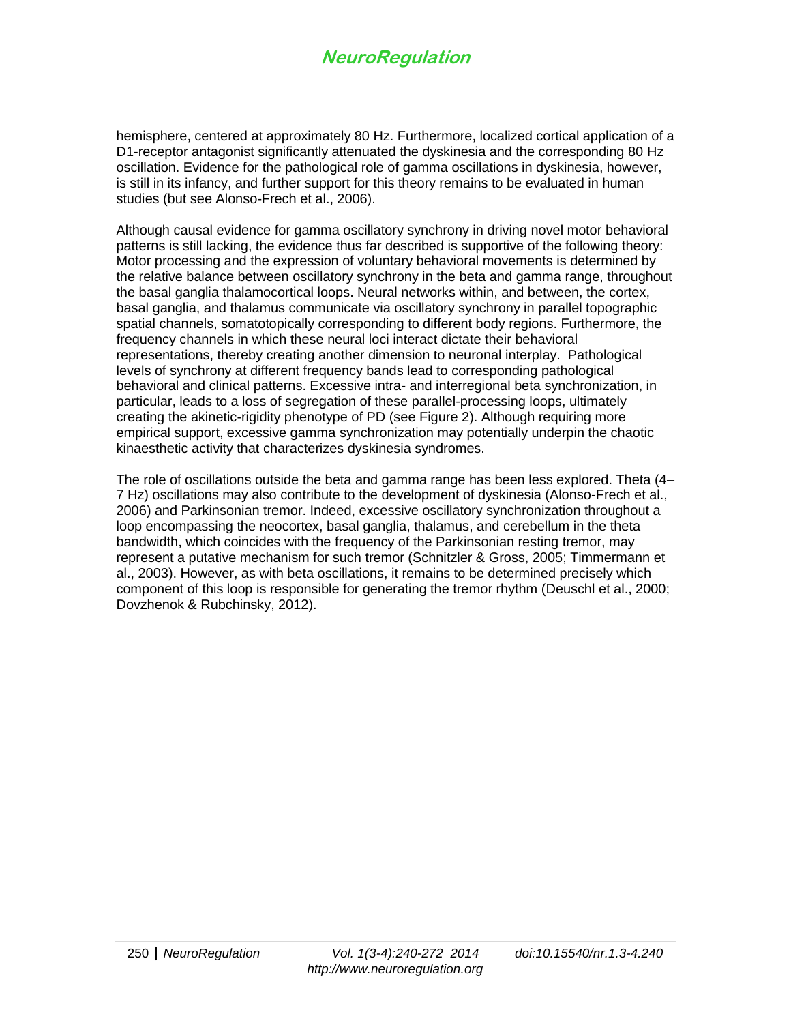hemisphere, centered at approximately 80 Hz. Furthermore, localized cortical application of a D1-receptor antagonist significantly attenuated the dyskinesia and the corresponding 80 Hz oscillation. Evidence for the pathological role of gamma oscillations in dyskinesia, however, is still in its infancy, and further support for this theory remains to be evaluated in human studies (but see Alonso-Frech et al., 2006).

Although causal evidence for gamma oscillatory synchrony in driving novel motor behavioral patterns is still lacking, the evidence thus far described is supportive of the following theory: Motor processing and the expression of voluntary behavioral movements is determined by the relative balance between oscillatory synchrony in the beta and gamma range, throughout the basal ganglia thalamocortical loops. Neural networks within, and between, the cortex, basal ganglia, and thalamus communicate via oscillatory synchrony in parallel topographic spatial channels, somatotopically corresponding to different body regions. Furthermore, the frequency channels in which these neural loci interact dictate their behavioral representations, thereby creating another dimension to neuronal interplay. Pathological levels of synchrony at different frequency bands lead to corresponding pathological behavioral and clinical patterns. Excessive intra- and interregional beta synchronization, in particular, leads to a loss of segregation of these parallel-processing loops, ultimately creating the akinetic-rigidity phenotype of PD (see Figure 2). Although requiring more empirical support, excessive gamma synchronization may potentially underpin the chaotic kinaesthetic activity that characterizes dyskinesia syndromes.

The role of oscillations outside the beta and gamma range has been less explored. Theta (4– 7 Hz) oscillations may also contribute to the development of dyskinesia (Alonso-Frech et al., 2006) and Parkinsonian tremor. Indeed, excessive oscillatory synchronization throughout a loop encompassing the neocortex, basal ganglia, thalamus, and cerebellum in the theta bandwidth, which coincides with the frequency of the Parkinsonian resting tremor, may represent a putative mechanism for such tremor (Schnitzler & Gross, 2005; Timmermann et al., 2003). However, as with beta oscillations, it remains to be determined precisely which component of this loop is responsible for generating the tremor rhythm (Deuschl et al., 2000; Dovzhenok & Rubchinsky, 2012).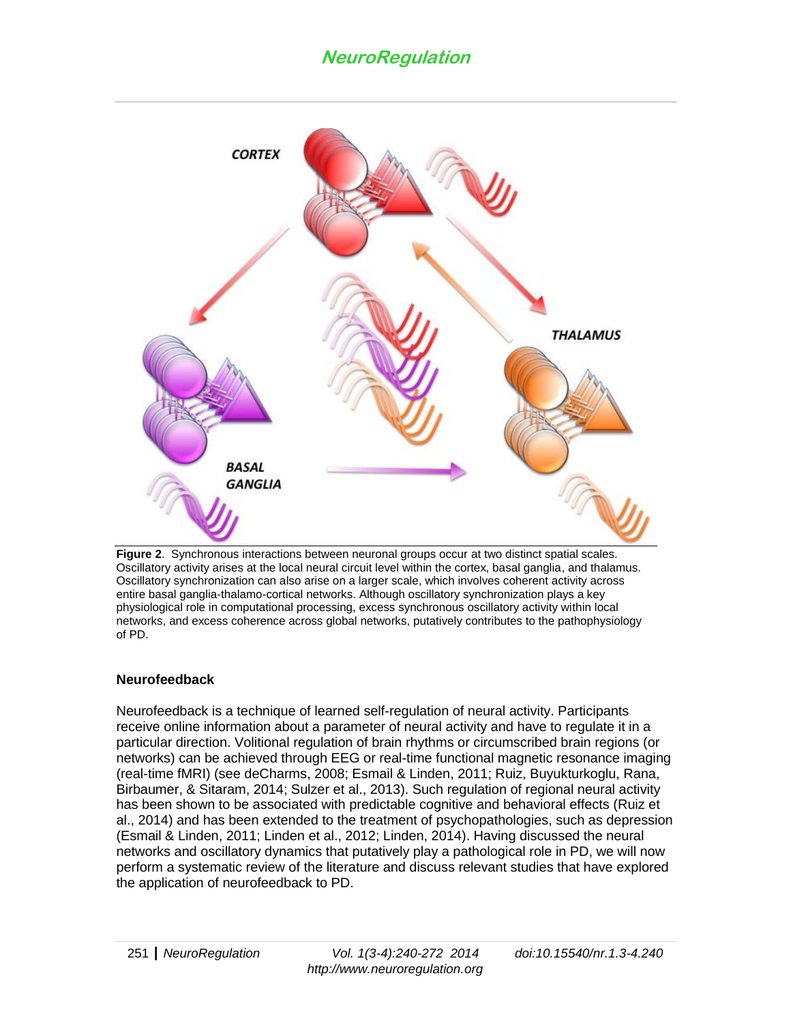

**Figure 2**. Synchronous interactions between neuronal groups occur at two distinct spatial scales. Oscillatory activity arises at the local neural circuit level within the cortex, basal ganglia, and thalamus. Oscillatory synchronization can also arise on a larger scale, which involves coherent activity across entire basal ganglia-thalamo-cortical networks. Although oscillatory synchronization plays a key physiological role in computational processing, excess synchronous oscillatory activity within local networks, and excess coherence across global networks, putatively contributes to the pathophysiology of PD.

## **Neurofeedback**

Neurofeedback is a technique of learned self-regulation of neural activity. Participants receive online information about a parameter of neural activity and have to regulate it in a particular direction. Volitional regulation of brain rhythms or circumscribed brain regions (or networks) can be achieved through EEG or real-time functional magnetic resonance imaging (real-time fMRI) (see deCharms, 2008; Esmail & Linden, 2011; Ruiz, Buyukturkoglu, Rana, Birbaumer, & Sitaram, 2014; Sulzer et al., 2013). Such regulation of regional neural activity has been shown to be associated with predictable cognitive and behavioral effects (Ruiz et al., 2014) and has been extended to the treatment of psychopathologies, such as depression (Esmail & Linden, 2011; Linden et al., 2012; Linden, 2014). Having discussed the neural networks and oscillatory dynamics that putatively play a pathological role in PD, we will now perform a systematic review of the literature and discuss relevant studies that have explored the application of neurofeedback to PD.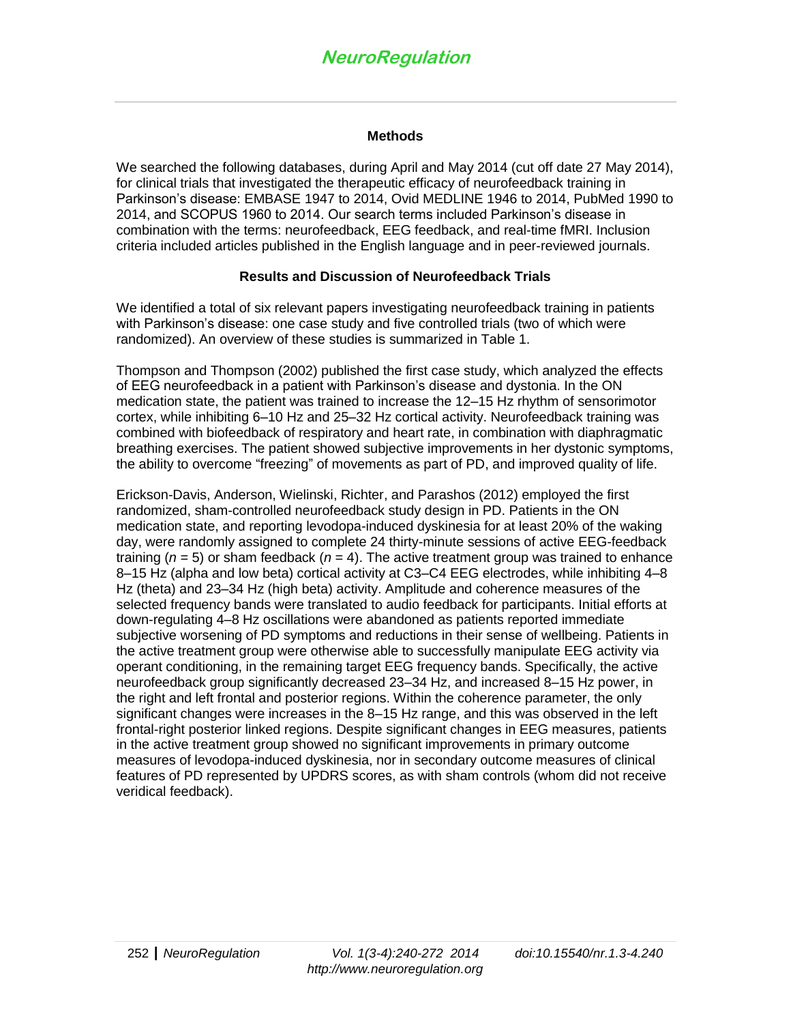#### **Methods**

We searched the following databases, during April and May 2014 (cut off date 27 May 2014), for clinical trials that investigated the therapeutic efficacy of neurofeedback training in Parkinson's disease: EMBASE 1947 to 2014, Ovid MEDLINE 1946 to 2014, PubMed 1990 to 2014, and SCOPUS 1960 to 2014. Our search terms included Parkinson's disease in combination with the terms: neurofeedback, EEG feedback, and real-time fMRI. Inclusion criteria included articles published in the English language and in peer-reviewed journals.

#### **Results and Discussion of Neurofeedback Trials**

We identified a total of six relevant papers investigating neurofeedback training in patients with Parkinson's disease: one case study and five controlled trials (two of which were randomized). An overview of these studies is summarized in Table 1.

Thompson and Thompson (2002) published the first case study, which analyzed the effects of EEG neurofeedback in a patient with Parkinson's disease and dystonia. In the ON medication state, the patient was trained to increase the 12–15 Hz rhythm of sensorimotor cortex, while inhibiting 6–10 Hz and 25–32 Hz cortical activity. Neurofeedback training was combined with biofeedback of respiratory and heart rate, in combination with diaphragmatic breathing exercises. The patient showed subjective improvements in her dystonic symptoms, the ability to overcome "freezing" of movements as part of PD, and improved quality of life.

Erickson-Davis, Anderson, Wielinski, Richter, and Parashos (2012) employed the first randomized, sham-controlled neurofeedback study design in PD. Patients in the ON medication state, and reporting levodopa-induced dyskinesia for at least 20% of the waking day, were randomly assigned to complete 24 thirty-minute sessions of active EEG-feedback training (*n* = 5) or sham feedback (*n* = 4). The active treatment group was trained to enhance 8–15 Hz (alpha and low beta) cortical activity at C3–C4 EEG electrodes, while inhibiting 4–8 Hz (theta) and 23–34 Hz (high beta) activity. Amplitude and coherence measures of the selected frequency bands were translated to audio feedback for participants. Initial efforts at down-regulating 4–8 Hz oscillations were abandoned as patients reported immediate subjective worsening of PD symptoms and reductions in their sense of wellbeing. Patients in the active treatment group were otherwise able to successfully manipulate EEG activity via operant conditioning, in the remaining target EEG frequency bands. Specifically, the active neurofeedback group significantly decreased 23–34 Hz, and increased 8–15 Hz power, in the right and left frontal and posterior regions. Within the coherence parameter, the only significant changes were increases in the 8–15 Hz range, and this was observed in the left frontal-right posterior linked regions. Despite significant changes in EEG measures, patients in the active treatment group showed no significant improvements in primary outcome measures of levodopa-induced dyskinesia, nor in secondary outcome measures of clinical features of PD represented by UPDRS scores, as with sham controls (whom did not receive veridical feedback).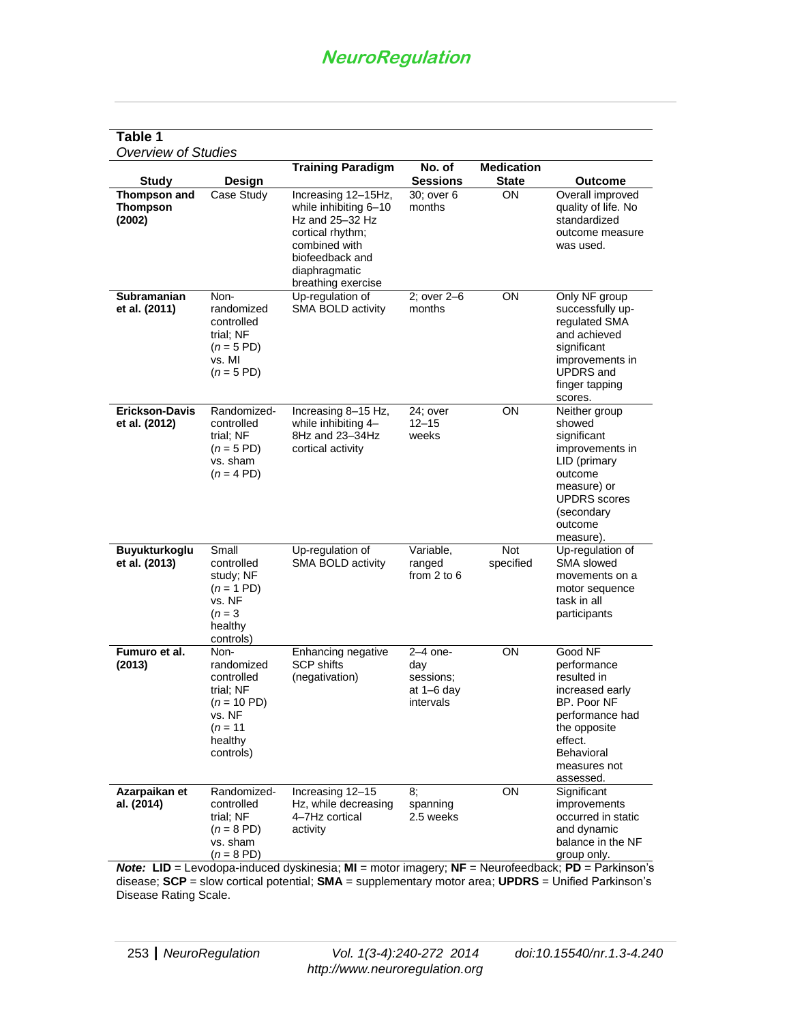### **Table 1**

*Overview of Studies*

|                                                  |                                                                                                                             | <b>Training Paradigm</b>                                                                                                                                                                | No. of                                                      | <b>Medication</b>       |                                                                                                                                                                  |
|--------------------------------------------------|-----------------------------------------------------------------------------------------------------------------------------|-----------------------------------------------------------------------------------------------------------------------------------------------------------------------------------------|-------------------------------------------------------------|-------------------------|------------------------------------------------------------------------------------------------------------------------------------------------------------------|
| <b>Study</b>                                     | Design                                                                                                                      |                                                                                                                                                                                         | <b>Sessions</b>                                             | <b>State</b>            | <b>Outcome</b>                                                                                                                                                   |
| <b>Thompson and</b><br><b>Thompson</b><br>(2002) | Case Study                                                                                                                  | Increasing 12-15Hz,<br>while inhibiting 6-10<br>Hz and $25-32$ Hz<br>cortical rhythm;<br>combined with<br>biofeedback and<br>diaphragmatic<br>breathing exercise                        | 30; over 6<br>months                                        | ON                      | Overall improved<br>quality of life. No<br>standardized<br>outcome measure<br>was used.                                                                          |
| <b>Subramanian</b><br>et al. (2011)              | Non-<br>randomized<br>controlled<br>trial; NF<br>$(n = 5 \text{ PD})$<br>vs. MI<br>$(n = 5 \text{ PD})$                     | Up-regulation of<br>SMA BOLD activity                                                                                                                                                   | 2; over 2-6<br>months                                       | ON                      | Only NF group<br>successfully up-<br>regulated SMA<br>and achieved<br>significant<br>improvements in<br><b>UPDRS</b> and<br>finger tapping<br>scores.            |
| Erickson-Davis<br>et al. (2012)                  | Randomized-<br>controlled<br>trial; NF<br>$(n = 5 \text{ PD})$<br>vs. sham<br>$(n = 4 \text{ PD})$                          | Increasing 8-15 Hz,<br>while inhibiting 4-<br>8Hz and 23-34Hz<br>cortical activity                                                                                                      | 24; over<br>$12 - 15$<br>weeks                              | ON                      | Neither group<br>showed<br>significant<br>improvements in<br>LID (primary<br>outcome<br>measure) or<br><b>UPDRS</b> scores<br>(secondary<br>outcome<br>measure). |
| Buyukturkoglu<br>et al. (2013)                   | Small<br>controlled<br>study; NF<br>$(n = 1 \text{ PD})$<br>vs. NF<br>$(n = 3)$<br>healthy<br>controls)                     | Up-regulation of<br>SMA BOLD activity                                                                                                                                                   | Variable,<br>ranged<br>from $2$ to $6$                      | <b>Not</b><br>specified | Up-regulation of<br><b>SMA</b> slowed<br>movements on a<br>motor sequence<br>task in all<br>participants                                                         |
| Fumuro et al.<br>(2013)                          | Non-<br>randomized<br>controlled<br>trial; NF<br>$(n = 10 \text{ PD})$<br>vs. NF<br>( <i>n</i> = 11<br>healthy<br>controls) | Enhancing negative<br><b>SCP shifts</b><br>(negativation)                                                                                                                               | $2-4$ one-<br>day<br>sessions;<br>at $1-6$ day<br>intervals | ON                      | Good NF<br>performance<br>resulted in<br>increased early<br>BP. Poor NF<br>performance had<br>the opposite<br>effect.<br>Behavioral<br>measures not<br>assessed. |
| Azarpaikan et<br>al. (2014)                      | Randomized-<br>controlled<br>trial; NF<br>$(n = 8 \text{ PD})$<br>vs. sham<br>$(n = 8 \text{ PD})$                          | Increasing 12-15<br>Hz, while decreasing<br>4-7Hz cortical<br>activity<br>$M$ ote: $IID - I$ evodopa-induced dyskinesia: $MI -$ motor imageny: $NF -$ Neurofeedback: $PD -$ Parkinson's | 8;<br>spanning<br>2.5 weeks                                 | ON                      | Significant<br>improvements<br>occurred in static<br>and dynamic<br>balance in the NF<br>group only.                                                             |

*Note:* **LID** = Levodopa-induced dyskinesia; **MI** = motor imagery; **NF** = Neurofeedback; **PD** = Parkinson's disease; **SCP** = slow cortical potential; **SMA** = supplementary motor area; **UPDRS** = Unified Parkinson's Disease Rating Scale.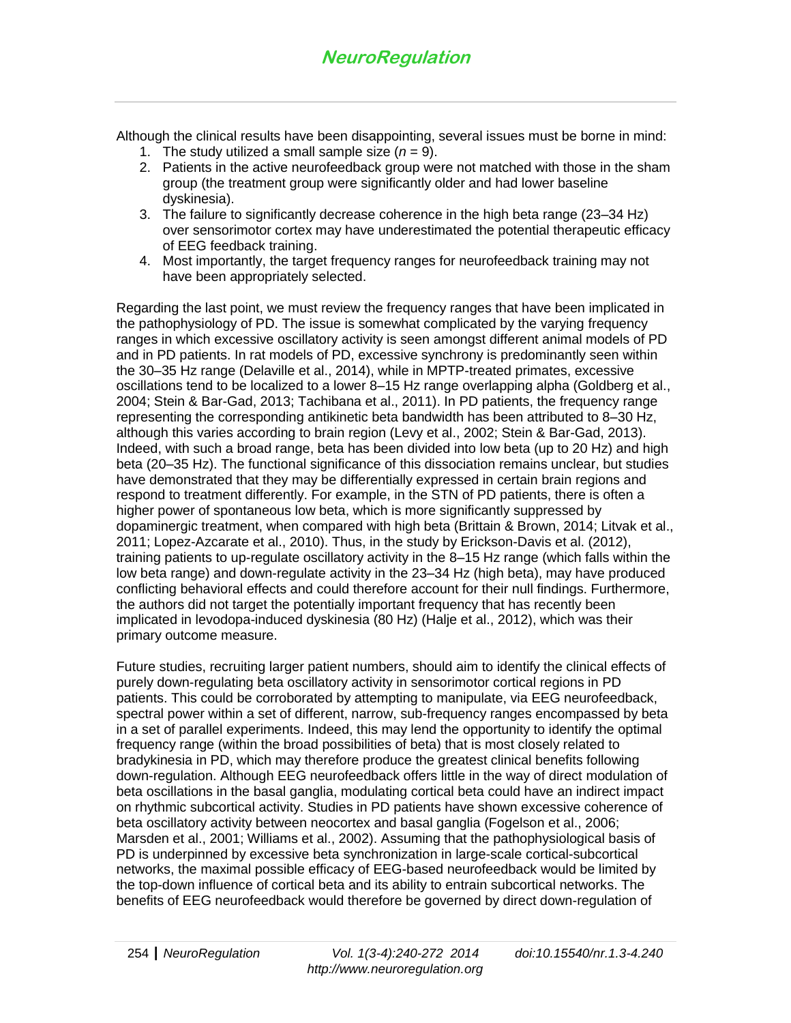Although the clinical results have been disappointing, several issues must be borne in mind:

- 1. The study utilized a small sample size  $(n = 9)$ .
- 2. Patients in the active neurofeedback group were not matched with those in the sham group (the treatment group were significantly older and had lower baseline dyskinesia).
- 3. The failure to significantly decrease coherence in the high beta range (23–34 Hz) over sensorimotor cortex may have underestimated the potential therapeutic efficacy of EEG feedback training.
- 4. Most importantly, the target frequency ranges for neurofeedback training may not have been appropriately selected.

Regarding the last point, we must review the frequency ranges that have been implicated in the pathophysiology of PD. The issue is somewhat complicated by the varying frequency ranges in which excessive oscillatory activity is seen amongst different animal models of PD and in PD patients. In rat models of PD, excessive synchrony is predominantly seen within the 30–35 Hz range (Delaville et al., 2014), while in MPTP-treated primates, excessive oscillations tend to be localized to a lower 8–15 Hz range overlapping alpha (Goldberg et al., 2004; Stein & Bar-Gad, 2013; Tachibana et al., 2011). In PD patients, the frequency range representing the corresponding antikinetic beta bandwidth has been attributed to 8–30 Hz, although this varies according to brain region (Levy et al., 2002; Stein & Bar-Gad, 2013). Indeed, with such a broad range, beta has been divided into low beta (up to 20 Hz) and high beta (20–35 Hz). The functional significance of this dissociation remains unclear, but studies have demonstrated that they may be differentially expressed in certain brain regions and respond to treatment differently. For example, in the STN of PD patients, there is often a higher power of spontaneous low beta, which is more significantly suppressed by dopaminergic treatment, when compared with high beta (Brittain & Brown, 2014; Litvak et al., 2011; Lopez-Azcarate et al., 2010). Thus, in the study by Erickson-Davis et al. (2012), training patients to up-regulate oscillatory activity in the 8–15 Hz range (which falls within the low beta range) and down-regulate activity in the 23–34 Hz (high beta), may have produced conflicting behavioral effects and could therefore account for their null findings. Furthermore, the authors did not target the potentially important frequency that has recently been implicated in levodopa-induced dyskinesia (80 Hz) (Halje et al., 2012), which was their primary outcome measure.

Future studies, recruiting larger patient numbers, should aim to identify the clinical effects of purely down-regulating beta oscillatory activity in sensorimotor cortical regions in PD patients. This could be corroborated by attempting to manipulate, via EEG neurofeedback, spectral power within a set of different, narrow, sub-frequency ranges encompassed by beta in a set of parallel experiments. Indeed, this may lend the opportunity to identify the optimal frequency range (within the broad possibilities of beta) that is most closely related to bradykinesia in PD, which may therefore produce the greatest clinical benefits following down-regulation. Although EEG neurofeedback offers little in the way of direct modulation of beta oscillations in the basal ganglia, modulating cortical beta could have an indirect impact on rhythmic subcortical activity. Studies in PD patients have shown excessive coherence of beta oscillatory activity between neocortex and basal ganglia (Fogelson et al., 2006; Marsden et al., 2001; Williams et al., 2002). Assuming that the pathophysiological basis of PD is underpinned by excessive beta synchronization in large-scale cortical-subcortical networks, the maximal possible efficacy of EEG-based neurofeedback would be limited by the top-down influence of cortical beta and its ability to entrain subcortical networks. The benefits of EEG neurofeedback would therefore be governed by direct down-regulation of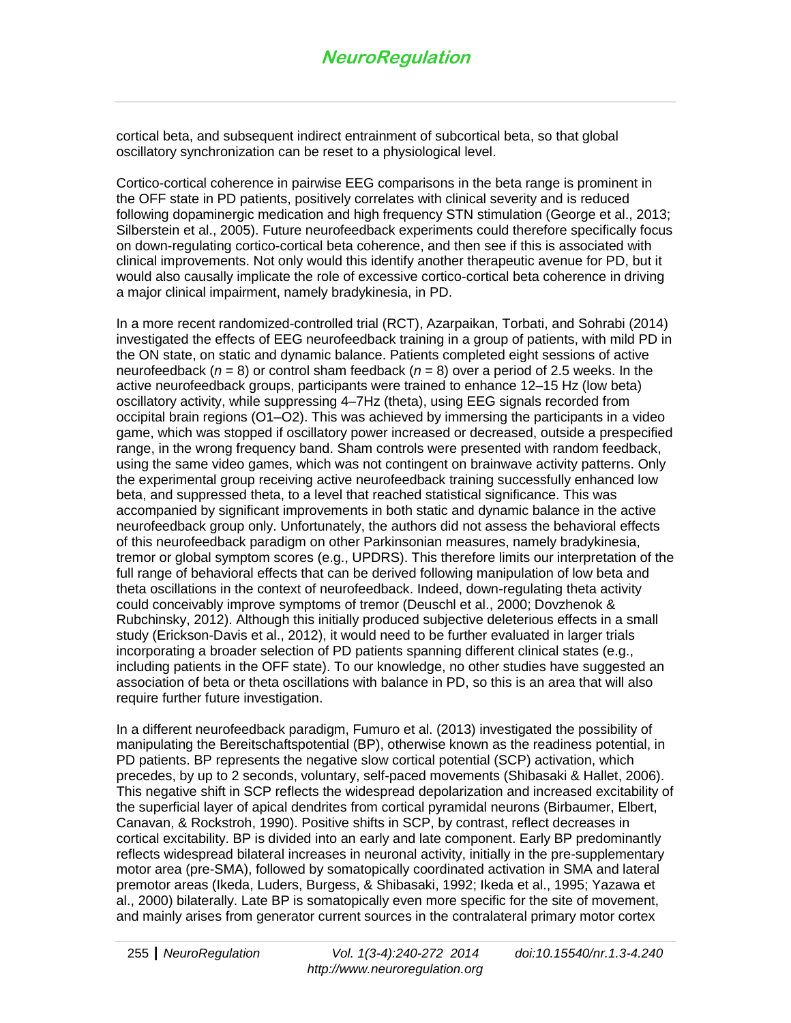cortical beta, and subsequent indirect entrainment of subcortical beta, so that global oscillatory synchronization can be reset to a physiological level.

Cortico-cortical coherence in pairwise EEG comparisons in the beta range is prominent in the OFF state in PD patients, positively correlates with clinical severity and is reduced following dopaminergic medication and high frequency STN stimulation (George et al., 2013; Silberstein et al., 2005). Future neurofeedback experiments could therefore specifically focus on down-regulating cortico-cortical beta coherence, and then see if this is associated with clinical improvements. Not only would this identify another therapeutic avenue for PD, but it would also causally implicate the role of excessive cortico-cortical beta coherence in driving a major clinical impairment, namely bradykinesia, in PD.

In a more recent randomized-controlled trial (RCT), Azarpaikan, Torbati, and Sohrabi (2014) investigated the effects of EEG neurofeedback training in a group of patients, with mild PD in the ON state, on static and dynamic balance. Patients completed eight sessions of active neurofeedback (*n* = 8) or control sham feedback (*n* = 8) over a period of 2.5 weeks. In the active neurofeedback groups, participants were trained to enhance 12–15 Hz (low beta) oscillatory activity, while suppressing 4–7Hz (theta), using EEG signals recorded from occipital brain regions (O1–O2). This was achieved by immersing the participants in a video game, which was stopped if oscillatory power increased or decreased, outside a prespecified range, in the wrong frequency band. Sham controls were presented with random feedback, using the same video games, which was not contingent on brainwave activity patterns. Only the experimental group receiving active neurofeedback training successfully enhanced low beta, and suppressed theta, to a level that reached statistical significance. This was accompanied by significant improvements in both static and dynamic balance in the active neurofeedback group only. Unfortunately, the authors did not assess the behavioral effects of this neurofeedback paradigm on other Parkinsonian measures, namely bradykinesia, tremor or global symptom scores (e.g., UPDRS). This therefore limits our interpretation of the full range of behavioral effects that can be derived following manipulation of low beta and theta oscillations in the context of neurofeedback. Indeed, down-regulating theta activity could conceivably improve symptoms of tremor (Deuschl et al., 2000; Dovzhenok & Rubchinsky, 2012). Although this initially produced subjective deleterious effects in a small study (Erickson-Davis et al., 2012), it would need to be further evaluated in larger trials incorporating a broader selection of PD patients spanning different clinical states (e.g., including patients in the OFF state). To our knowledge, no other studies have suggested an association of beta or theta oscillations with balance in PD, so this is an area that will also require further future investigation.

In a different neurofeedback paradigm, Fumuro et al. (2013) investigated the possibility of manipulating the Bereitschaftspotential (BP), otherwise known as the readiness potential, in PD patients. BP represents the negative slow cortical potential (SCP) activation, which precedes, by up to 2 seconds, voluntary, self-paced movements (Shibasaki & Hallet, 2006). This negative shift in SCP reflects the widespread depolarization and increased excitability of the superficial layer of apical dendrites from cortical pyramidal neurons (Birbaumer, Elbert, Canavan, & Rockstroh, 1990). Positive shifts in SCP, by contrast, reflect decreases in cortical excitability. BP is divided into an early and late component. Early BP predominantly reflects widespread bilateral increases in neuronal activity, initially in the pre-supplementary motor area (pre-SMA), followed by somatopically coordinated activation in SMA and lateral premotor areas (Ikeda, Luders, Burgess, & Shibasaki, 1992; Ikeda et al., 1995; Yazawa et al., 2000) bilaterally. Late BP is somatopically even more specific for the site of movement, and mainly arises from generator current sources in the contralateral primary motor cortex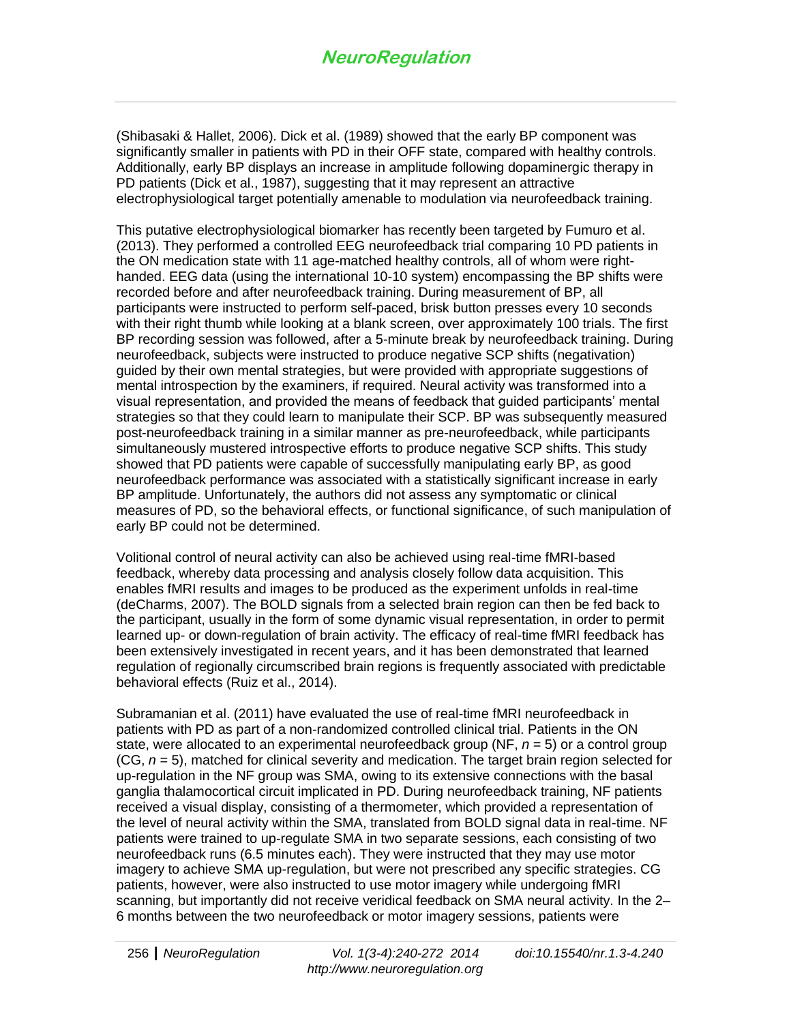(Shibasaki & Hallet, 2006). Dick et al. (1989) showed that the early BP component was significantly smaller in patients with PD in their OFF state, compared with healthy controls. Additionally, early BP displays an increase in amplitude following dopaminergic therapy in PD patients (Dick et al., 1987), suggesting that it may represent an attractive electrophysiological target potentially amenable to modulation via neurofeedback training.

This putative electrophysiological biomarker has recently been targeted by Fumuro et al. (2013). They performed a controlled EEG neurofeedback trial comparing 10 PD patients in the ON medication state with 11 age-matched healthy controls, all of whom were righthanded. EEG data (using the international 10-10 system) encompassing the BP shifts were recorded before and after neurofeedback training. During measurement of BP, all participants were instructed to perform self-paced, brisk button presses every 10 seconds with their right thumb while looking at a blank screen, over approximately 100 trials. The first BP recording session was followed, after a 5-minute break by neurofeedback training. During neurofeedback, subjects were instructed to produce negative SCP shifts (negativation) guided by their own mental strategies, but were provided with appropriate suggestions of mental introspection by the examiners, if required. Neural activity was transformed into a visual representation, and provided the means of feedback that guided participants' mental strategies so that they could learn to manipulate their SCP. BP was subsequently measured post-neurofeedback training in a similar manner as pre-neurofeedback, while participants simultaneously mustered introspective efforts to produce negative SCP shifts. This study showed that PD patients were capable of successfully manipulating early BP, as good neurofeedback performance was associated with a statistically significant increase in early BP amplitude. Unfortunately, the authors did not assess any symptomatic or clinical measures of PD, so the behavioral effects, or functional significance, of such manipulation of early BP could not be determined.

Volitional control of neural activity can also be achieved using real-time fMRI-based feedback, whereby data processing and analysis closely follow data acquisition. This enables fMRI results and images to be produced as the experiment unfolds in real-time (deCharms, 2007). The BOLD signals from a selected brain region can then be fed back to the participant, usually in the form of some dynamic visual representation, in order to permit learned up- or down-regulation of brain activity. The efficacy of real-time fMRI feedback has been extensively investigated in recent years, and it has been demonstrated that learned regulation of regionally circumscribed brain regions is frequently associated with predictable behavioral effects (Ruiz et al., 2014).

Subramanian et al. (2011) have evaluated the use of real-time fMRI neurofeedback in patients with PD as part of a non-randomized controlled clinical trial. Patients in the ON state, were allocated to an experimental neurofeedback group (NF, *n* = 5) or a control group (CG, *n* = 5), matched for clinical severity and medication. The target brain region selected for up-regulation in the NF group was SMA, owing to its extensive connections with the basal ganglia thalamocortical circuit implicated in PD. During neurofeedback training, NF patients received a visual display, consisting of a thermometer, which provided a representation of the level of neural activity within the SMA, translated from BOLD signal data in real-time. NF patients were trained to up-regulate SMA in two separate sessions, each consisting of two neurofeedback runs (6.5 minutes each). They were instructed that they may use motor imagery to achieve SMA up-regulation, but were not prescribed any specific strategies. CG patients, however, were also instructed to use motor imagery while undergoing fMRI scanning, but importantly did not receive veridical feedback on SMA neural activity. In the 2– 6 months between the two neurofeedback or motor imagery sessions, patients were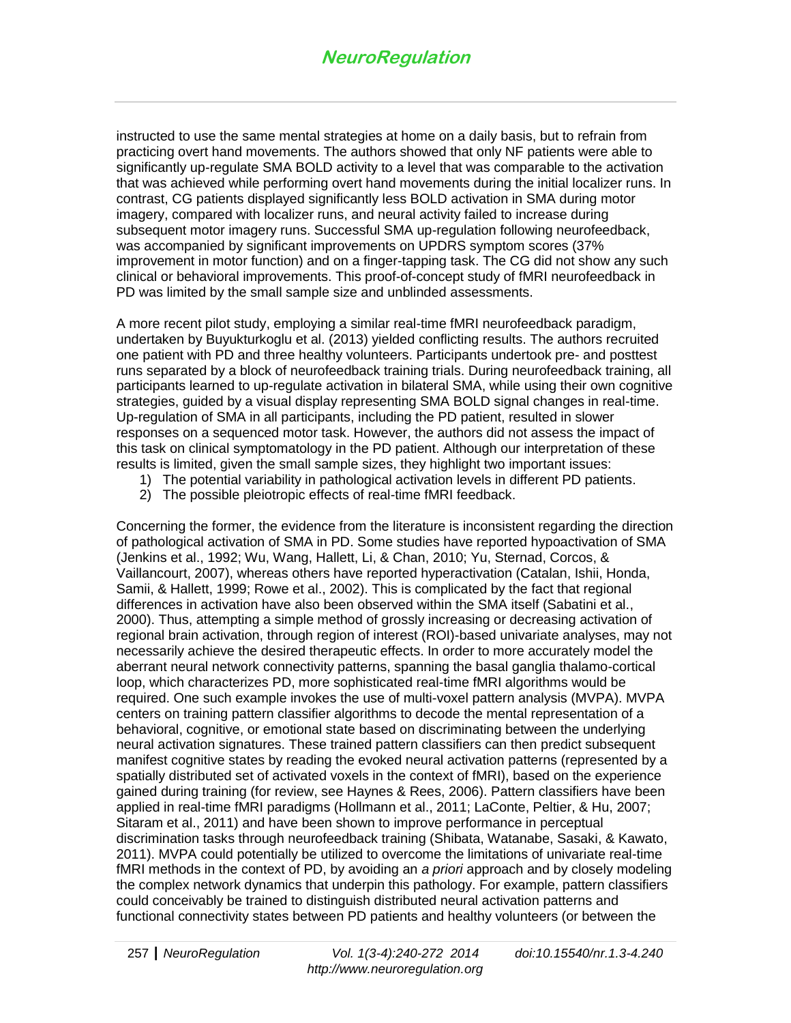instructed to use the same mental strategies at home on a daily basis, but to refrain from practicing overt hand movements. The authors showed that only NF patients were able to significantly up-regulate SMA BOLD activity to a level that was comparable to the activation that was achieved while performing overt hand movements during the initial localizer runs. In contrast, CG patients displayed significantly less BOLD activation in SMA during motor imagery, compared with localizer runs, and neural activity failed to increase during subsequent motor imagery runs. Successful SMA up-regulation following neurofeedback, was accompanied by significant improvements on UPDRS symptom scores (37% improvement in motor function) and on a finger-tapping task. The CG did not show any such clinical or behavioral improvements. This proof-of-concept study of fMRI neurofeedback in PD was limited by the small sample size and unblinded assessments.

A more recent pilot study, employing a similar real-time fMRI neurofeedback paradigm, undertaken by Buyukturkoglu et al. (2013) yielded conflicting results. The authors recruited one patient with PD and three healthy volunteers. Participants undertook pre- and posttest runs separated by a block of neurofeedback training trials. During neurofeedback training, all participants learned to up-regulate activation in bilateral SMA, while using their own cognitive strategies, guided by a visual display representing SMA BOLD signal changes in real-time. Up-regulation of SMA in all participants, including the PD patient, resulted in slower responses on a sequenced motor task. However, the authors did not assess the impact of this task on clinical symptomatology in the PD patient. Although our interpretation of these results is limited, given the small sample sizes, they highlight two important issues:

- 1) The potential variability in pathological activation levels in different PD patients.
- 2) The possible pleiotropic effects of real-time fMRI feedback.

Concerning the former, the evidence from the literature is inconsistent regarding the direction of pathological activation of SMA in PD. Some studies have reported hypoactivation of SMA (Jenkins et al., 1992; Wu, Wang, Hallett, Li, & Chan, 2010; Yu, Sternad, Corcos, & Vaillancourt, 2007), whereas others have reported hyperactivation (Catalan, Ishii, Honda, Samii, & Hallett, 1999; Rowe et al., 2002). This is complicated by the fact that regional differences in activation have also been observed within the SMA itself (Sabatini et al., 2000). Thus, attempting a simple method of grossly increasing or decreasing activation of regional brain activation, through region of interest (ROI)-based univariate analyses, may not necessarily achieve the desired therapeutic effects. In order to more accurately model the aberrant neural network connectivity patterns, spanning the basal ganglia thalamo-cortical loop, which characterizes PD, more sophisticated real-time fMRI algorithms would be required. One such example invokes the use of multi-voxel pattern analysis (MVPA). MVPA centers on training pattern classifier algorithms to decode the mental representation of a behavioral, cognitive, or emotional state based on discriminating between the underlying neural activation signatures. These trained pattern classifiers can then predict subsequent manifest cognitive states by reading the evoked neural activation patterns (represented by a spatially distributed set of activated voxels in the context of fMRI), based on the experience gained during training (for review, see Haynes & Rees, 2006). Pattern classifiers have been applied in real-time fMRI paradigms (Hollmann et al., 2011; LaConte, Peltier, & Hu, 2007; Sitaram et al., 2011) and have been shown to improve performance in perceptual discrimination tasks through neurofeedback training (Shibata, Watanabe, Sasaki, & Kawato, 2011). MVPA could potentially be utilized to overcome the limitations of univariate real-time fMRI methods in the context of PD, by avoiding an *a priori* approach and by closely modeling the complex network dynamics that underpin this pathology. For example, pattern classifiers could conceivably be trained to distinguish distributed neural activation patterns and functional connectivity states between PD patients and healthy volunteers (or between the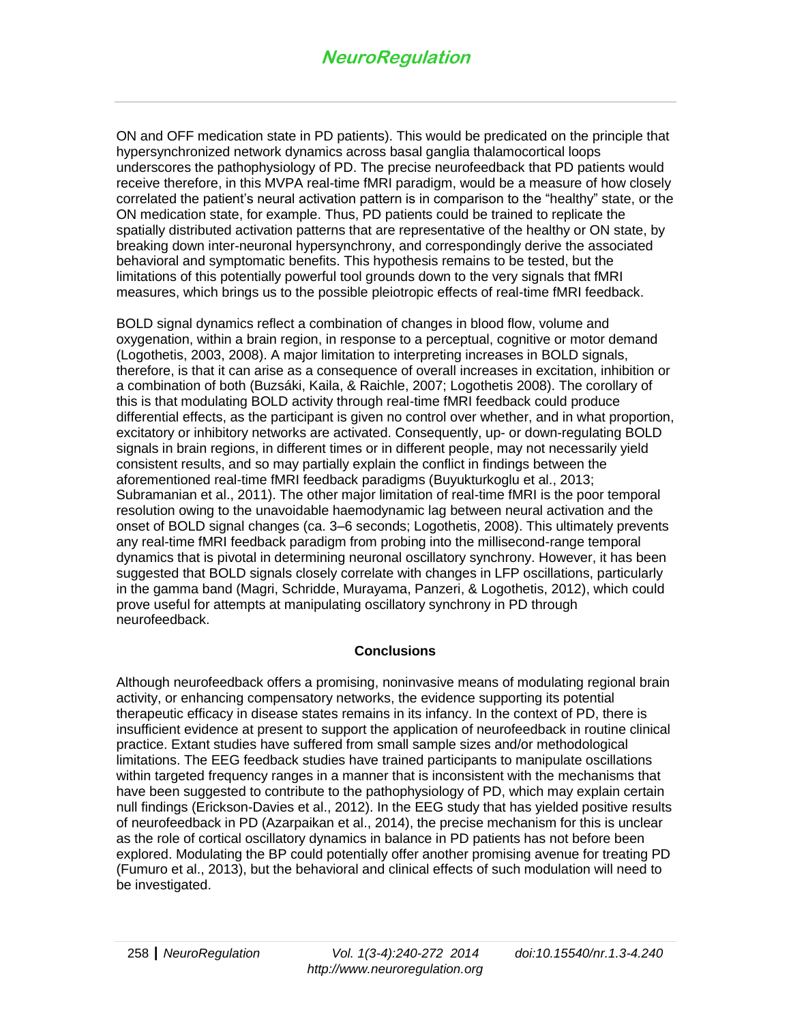ON and OFF medication state in PD patients). This would be predicated on the principle that hypersynchronized network dynamics across basal ganglia thalamocortical loops underscores the pathophysiology of PD. The precise neurofeedback that PD patients would receive therefore, in this MVPA real-time fMRI paradigm, would be a measure of how closely correlated the patient's neural activation pattern is in comparison to the "healthy" state, or the ON medication state, for example. Thus, PD patients could be trained to replicate the spatially distributed activation patterns that are representative of the healthy or ON state, by breaking down inter-neuronal hypersynchrony, and correspondingly derive the associated behavioral and symptomatic benefits. This hypothesis remains to be tested, but the limitations of this potentially powerful tool grounds down to the very signals that fMRI measures, which brings us to the possible pleiotropic effects of real-time fMRI feedback.

BOLD signal dynamics reflect a combination of changes in blood flow, volume and oxygenation, within a brain region, in response to a perceptual, cognitive or motor demand (Logothetis, 2003, 2008). A major limitation to interpreting increases in BOLD signals, therefore, is that it can arise as a consequence of overall increases in excitation, inhibition or a combination of both (Buzsáki, Kaila, & Raichle, 2007; Logothetis 2008). The corollary of this is that modulating BOLD activity through real-time fMRI feedback could produce differential effects, as the participant is given no control over whether, and in what proportion, excitatory or inhibitory networks are activated. Consequently, up- or down-regulating BOLD signals in brain regions, in different times or in different people, may not necessarily yield consistent results, and so may partially explain the conflict in findings between the aforementioned real-time fMRI feedback paradigms (Buyukturkoglu et al., 2013; Subramanian et al., 2011). The other major limitation of real-time fMRI is the poor temporal resolution owing to the unavoidable haemodynamic lag between neural activation and the onset of BOLD signal changes (ca. 3–6 seconds; Logothetis, 2008). This ultimately prevents any real-time fMRI feedback paradigm from probing into the millisecond-range temporal dynamics that is pivotal in determining neuronal oscillatory synchrony. However, it has been suggested that BOLD signals closely correlate with changes in LFP oscillations, particularly in the gamma band (Magri, Schridde, Murayama, Panzeri, & Logothetis, 2012), which could prove useful for attempts at manipulating oscillatory synchrony in PD through neurofeedback.

#### **Conclusions**

Although neurofeedback offers a promising, noninvasive means of modulating regional brain activity, or enhancing compensatory networks, the evidence supporting its potential therapeutic efficacy in disease states remains in its infancy. In the context of PD, there is insufficient evidence at present to support the application of neurofeedback in routine clinical practice. Extant studies have suffered from small sample sizes and/or methodological limitations. The EEG feedback studies have trained participants to manipulate oscillations within targeted frequency ranges in a manner that is inconsistent with the mechanisms that have been suggested to contribute to the pathophysiology of PD, which may explain certain null findings (Erickson-Davies et al., 2012). In the EEG study that has yielded positive results of neurofeedback in PD (Azarpaikan et al., 2014), the precise mechanism for this is unclear as the role of cortical oscillatory dynamics in balance in PD patients has not before been explored. Modulating the BP could potentially offer another promising avenue for treating PD (Fumuro et al., 2013), but the behavioral and clinical effects of such modulation will need to be investigated.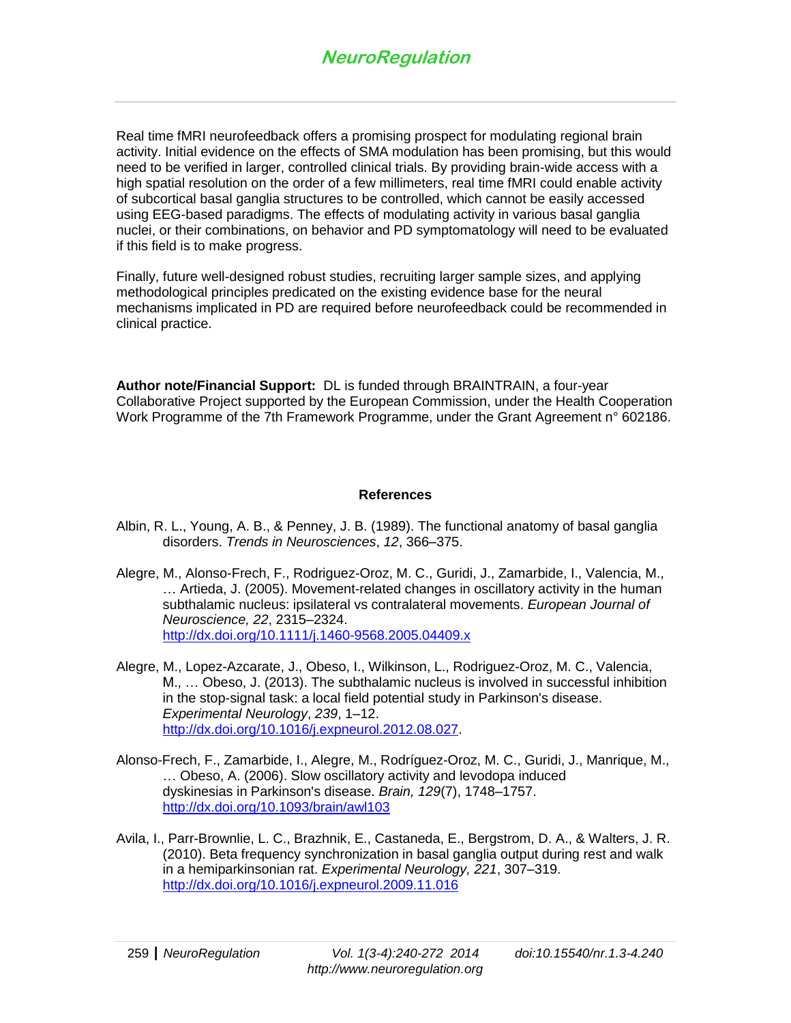Real time fMRI neurofeedback offers a promising prospect for modulating regional brain activity. Initial evidence on the effects of SMA modulation has been promising, but this would need to be verified in larger, controlled clinical trials. By providing brain-wide access with a high spatial resolution on the order of a few millimeters, real time fMRI could enable activity of subcortical basal ganglia structures to be controlled, which cannot be easily accessed using EEG-based paradigms. The effects of modulating activity in various basal ganglia nuclei, or their combinations, on behavior and PD symptomatology will need to be evaluated if this field is to make progress.

Finally, future well-designed robust studies, recruiting larger sample sizes, and applying methodological principles predicated on the existing evidence base for the neural mechanisms implicated in PD are required before neurofeedback could be recommended in clinical practice.

**Author note/Financial Support:** DL is funded through BRAINTRAIN, a four-year Collaborative Project supported by the European Commission, under the Health Cooperation Work Programme of the 7th Framework Programme, under the Grant Agreement n° 602186.

#### **References**

- Albin, R. L., Young, A. B., & Penney, J. B. (1989). The functional anatomy of basal ganglia disorders. *Trends in Neurosciences*, *12*, 366–375.
- Alegre, M., Alonso-Frech, F., Rodriguez-Oroz, M. C., Guridi, J., Zamarbide, I., Valencia, M., … Artieda, J. (2005). Movement-related changes in oscillatory activity in the human subthalamic nucleus: ipsilateral vs contralateral movements. *European Journal of Neuroscience, 22*, 2315–2324. <http://dx.doi.org/10.1111/j.1460-9568.2005.04409.x>
- Alegre, M., Lopez-Azcarate, J., Obeso, I., Wilkinson, L., Rodriguez-Oroz, M. C., Valencia, M., … Obeso, J. (2013). The subthalamic nucleus is involved in successful inhibition in the stop-signal task: a local field potential study in Parkinson's disease. *Experimental Neurology*, *239*, 1–12. [http://dx.doi.org/10.1016/j.expneurol.2012.08.027.](http://dx.doi.org/10.1016/j.expneurol.2012.08.027)
- Alonso-Frech, F., Zamarbide, I., Alegre, M., Rodríguez-Oroz, M. C., Guridi, J., Manrique, M., … Obeso, A. (2006). Slow oscillatory activity and levodopa induced dyskinesias in Parkinson's disease. *Brain, 129*(7), 1748–1757. <http://dx.doi.org/10.1093/brain/awl103>
- Avila, I., Parr-Brownlie, L. C., Brazhnik, E., Castaneda, E., Bergstrom, D. A., & Walters, J. R. (2010). Beta frequency synchronization in basal ganglia output during rest and walk in a hemiparkinsonian rat. *Experimental Neurology, 221*, 307–319. <http://dx.doi.org/10.1016/j.expneurol.2009.11.016>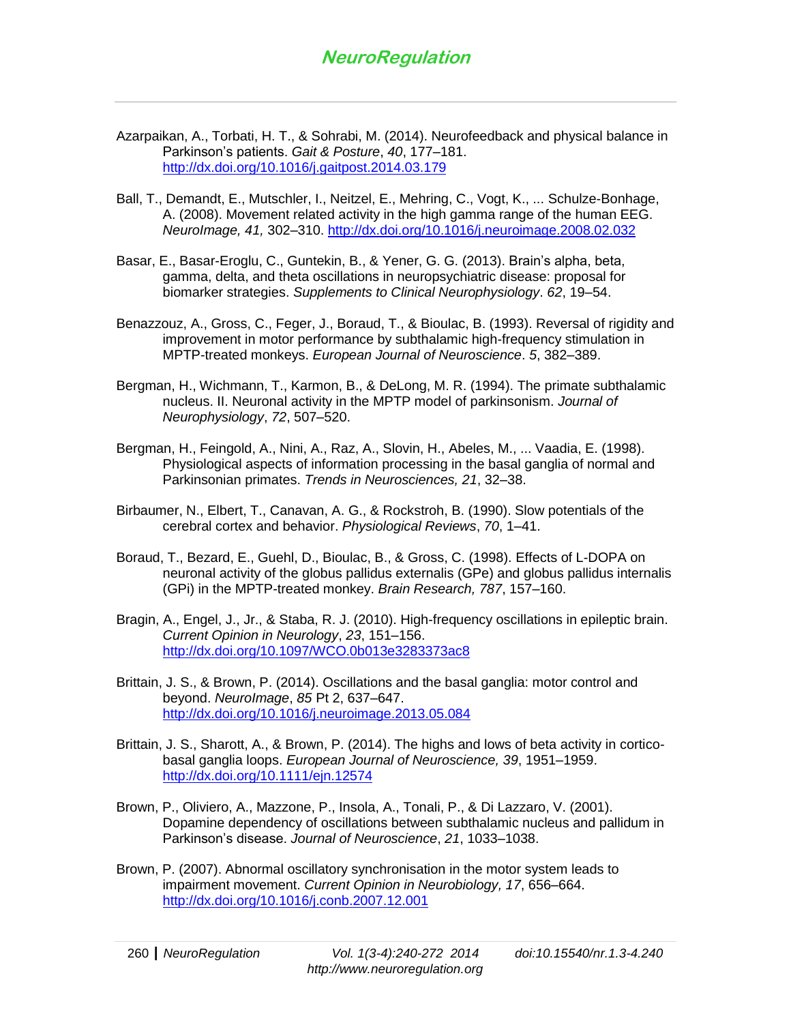- Azarpaikan, A., Torbati, H. T., & Sohrabi, M. (2014). Neurofeedback and physical balance in Parkinson's patients. *Gait & Posture*, *40*, 177–181. <http://dx.doi.org/10.1016/j.gaitpost.2014.03.179>
- Ball, T., Demandt, E., Mutschler, I., Neitzel, E., Mehring, C., Vogt, K., ... Schulze-Bonhage, A. (2008). Movement related activity in the high gamma range of the human EEG. *NeuroImage, 41,* 302–310. <http://dx.doi.org/10.1016/j.neuroimage.2008.02.032>
- Basar, E., Basar-Eroglu, C., Guntekin, B., & Yener, G. G. (2013). Brain's alpha, beta, gamma, delta, and theta oscillations in neuropsychiatric disease: proposal for biomarker strategies. *Supplements to Clinical Neurophysiology*. *62*, 19–54.
- Benazzouz, A., Gross, C., Feger, J., Boraud, T., & Bioulac, B. (1993). Reversal of rigidity and improvement in motor performance by subthalamic high-frequency stimulation in MPTP-treated monkeys. *European Journal of Neuroscience*. *5*, 382–389.
- Bergman, H., Wichmann, T., Karmon, B., & DeLong, M. R. (1994). The primate subthalamic nucleus. II. Neuronal activity in the MPTP model of parkinsonism. *Journal of Neurophysiology*, *72*, 507–520.
- Bergman, H., Feingold, A., Nini, A., Raz, A., Slovin, H., Abeles, M., ... Vaadia, E. (1998). Physiological aspects of information processing in the basal ganglia of normal and Parkinsonian primates. *Trends in Neurosciences, 21*, 32–38.
- Birbaumer, N., Elbert, T., Canavan, A. G., & Rockstroh, B. (1990). Slow potentials of the cerebral cortex and behavior. *Physiological Reviews*, *70*, 1–41.
- Boraud, T., Bezard, E., Guehl, D., Bioulac, B., & Gross, C. (1998). Effects of L-DOPA on neuronal activity of the globus pallidus externalis (GPe) and globus pallidus internalis (GPi) in the MPTP-treated monkey. *Brain Research, 787*, 157–160.
- Bragin, A., Engel, J., Jr., & Staba, R. J. (2010). High-frequency oscillations in epileptic brain. *Current Opinion in Neurology*, *23*, 151–156. <http://dx.doi.org/10.1097/WCO.0b013e3283373ac8>
- Brittain, J. S., & Brown, P. (2014). Oscillations and the basal ganglia: motor control and beyond. *NeuroImage*, *85* Pt 2, 637–647. <http://dx.doi.org/10.1016/j.neuroimage.2013.05.084>
- Brittain, J. S., Sharott, A., & Brown, P. (2014). The highs and lows of beta activity in corticobasal ganglia loops. *European Journal of Neuroscience, 39*, 1951–1959. <http://dx.doi.org/10.1111/ejn.12574>
- Brown, P., Oliviero, A., Mazzone, P., Insola, A., Tonali, P., & Di Lazzaro, V. (2001). Dopamine dependency of oscillations between subthalamic nucleus and pallidum in Parkinson's disease. *Journal of Neuroscience*, *21*, 1033–1038.
- Brown, P. (2007). Abnormal oscillatory synchronisation in the motor system leads to impairment movement. *Current Opinion in Neurobiology, 17*, 656–664. <http://dx.doi.org/10.1016/j.conb.2007.12.001>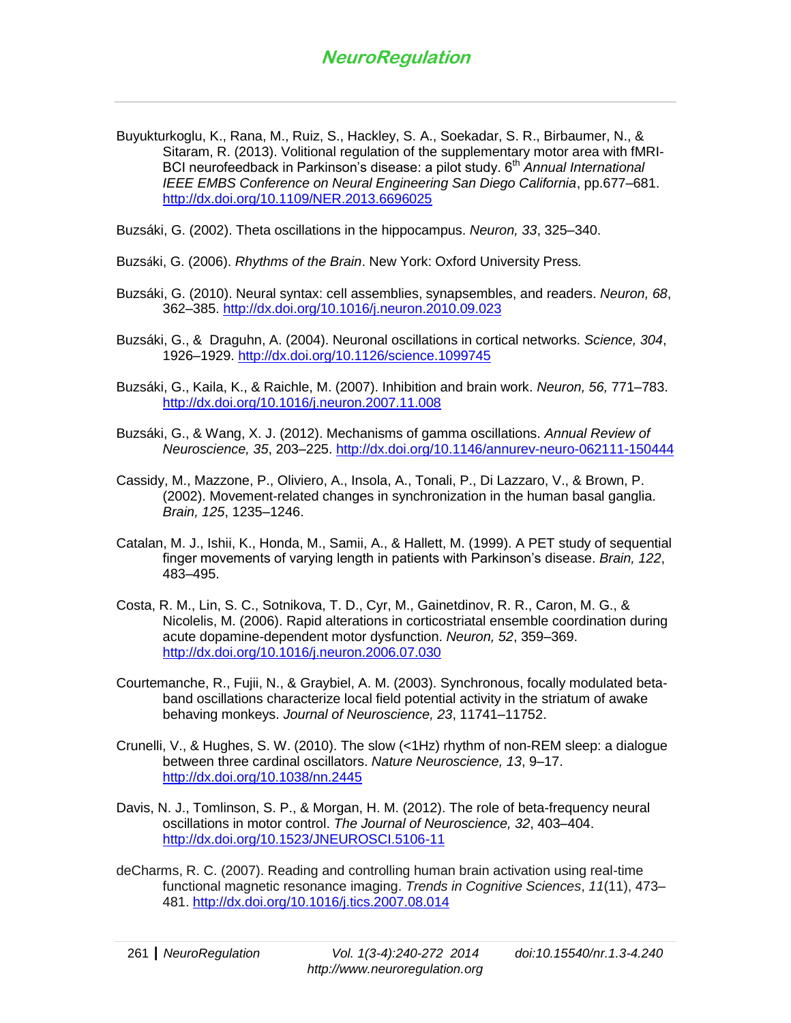Buyukturkoglu, K., Rana, M., Ruiz, S., Hackley, S. A., Soekadar, S. R., Birbaumer, N., & Sitaram, R. (2013). Volitional regulation of the supplementary motor area with fMRI-BCI neurofeedback in Parkinson's disease: a pilot study. 6<sup>th</sup> *Annual International IEEE EMBS Conference on Neural Engineering San Diego California*, pp.677–681. <http://dx.doi.org/10.1109/NER.2013.6696025>

Buzsáki, G. (2002). Theta oscillations in the hippocampus. *Neuron, 33*, 325–340.

- Buzsáki, G. (2006). *Rhythms of the Brain*. New York: Oxford University Press*.*
- Buzsáki, G. (2010). Neural syntax: cell assemblies, synapsembles, and readers. *Neuron, 68*, 362–385. <http://dx.doi.org/10.1016/j.neuron.2010.09.023>
- Buzsáki, G., & Draguhn, A. (2004). Neuronal oscillations in cortical networks. *Science, 304*, 1926–1929.<http://dx.doi.org/10.1126/science.1099745>
- Buzsáki, G., Kaila, K., & Raichle, M. (2007). Inhibition and brain work. *Neuron, 56,* 771–783. <http://dx.doi.org/10.1016/j.neuron.2007.11.008>
- Buzsáki, G., & Wang, X. J. (2012). Mechanisms of gamma oscillations. *Annual Review of Neuroscience, 35*, 203–225.<http://dx.doi.org/10.1146/annurev-neuro-062111-150444>
- Cassidy, M., Mazzone, P., Oliviero, A., Insola, A., Tonali, P., Di Lazzaro, V., & Brown, P. (2002). Movement-related changes in synchronization in the human basal ganglia. *Brain, 125*, 1235–1246.
- Catalan, M. J., Ishii, K., Honda, M., Samii, A., & Hallett, M. (1999). A PET study of sequential finger movements of varying length in patients with Parkinson's disease. *Brain, 122*, 483–495.
- Costa, R. M., Lin, S. C., Sotnikova, T. D., Cyr, M., Gainetdinov, R. R., Caron, M. G., & Nicolelis, M. (2006). Rapid alterations in corticostriatal ensemble coordination during acute dopamine-dependent motor dysfunction. *Neuron, 52*, 359–369. <http://dx.doi.org/10.1016/j.neuron.2006.07.030>
- Courtemanche, R., Fujii, N., & Graybiel, A. M. (2003). Synchronous, focally modulated betaband oscillations characterize local field potential activity in the striatum of awake behaving monkeys. *Journal of Neuroscience, 23*, 11741–11752.
- Crunelli, V., & Hughes, S. W. (2010). The slow (<1Hz) rhythm of non-REM sleep: a dialogue between three cardinal oscillators. *Nature Neuroscience, 13*, 9–17. <http://dx.doi.org/10.1038/nn.2445>
- Davis, N. J., Tomlinson, S. P., & Morgan, H. M. (2012). The role of beta-frequency neural oscillations in motor control. *The Journal of Neuroscience, 32*, 403–404. <http://dx.doi.org/10.1523/JNEUROSCI.5106-11>
- deCharms, R. C. (2007). Reading and controlling human brain activation using real-time functional magnetic resonance imaging. *Trends in Cognitive Sciences*, *11*(11), 473– 481.<http://dx.doi.org/10.1016/j.tics.2007.08.014>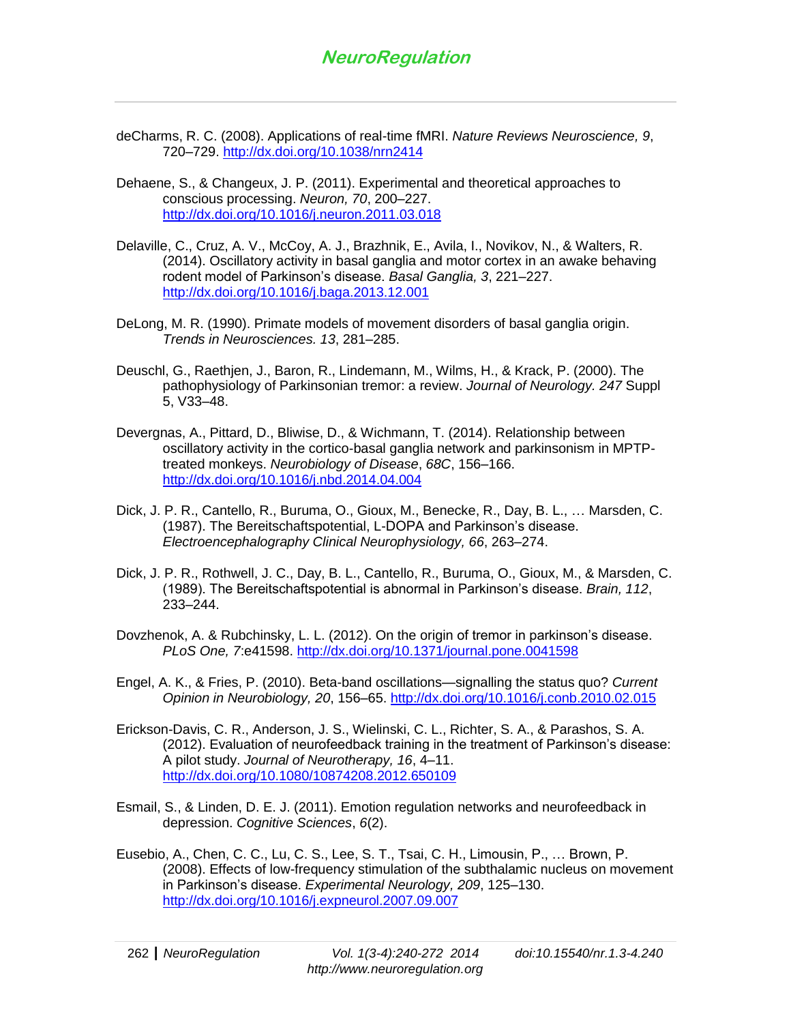- deCharms, R. C. (2008). Applications of real-time fMRI. *Nature Reviews Neuroscience, 9*, 720–729.<http://dx.doi.org/10.1038/nrn2414>
- Dehaene, S., & Changeux, J. P. (2011). Experimental and theoretical approaches to conscious processing. *Neuron, 70*, 200–227. <http://dx.doi.org/10.1016/j.neuron.2011.03.018>
- Delaville, C., Cruz, A. V., McCoy, A. J., Brazhnik, E., Avila, I., Novikov, N., & Walters, R. (2014). Oscillatory activity in basal ganglia and motor cortex in an awake behaving rodent model of Parkinson's disease. *Basal Ganglia, 3*, 221–227. <http://dx.doi.org/10.1016/j.baga.2013.12.001>
- DeLong, M. R. (1990). Primate models of movement disorders of basal ganglia origin. *Trends in Neurosciences. 13*, 281–285.
- Deuschl, G., Raethjen, J., Baron, R., Lindemann, M., Wilms, H., & Krack, P. (2000). The pathophysiology of Parkinsonian tremor: a review. *Journal of Neurology. 247* Suppl 5, V33–48.
- Devergnas, A., Pittard, D., Bliwise, D., & Wichmann, T. (2014). Relationship between oscillatory activity in the cortico-basal ganglia network and parkinsonism in MPTPtreated monkeys. *Neurobiology of Disease*, *68C*, 156–166. <http://dx.doi.org/10.1016/j.nbd.2014.04.004>
- Dick, J. P. R., Cantello, R., Buruma, O., Gioux, M., Benecke, R., Day, B. L., … Marsden, C. (1987). The Bereitschaftspotential, L-DOPA and Parkinson's disease. *Electroencephalography Clinical Neurophysiology, 66*, 263–274.
- Dick, J. P. R., Rothwell, J. C., Day, B. L., Cantello, R., Buruma, O., Gioux, M., & Marsden, C. (1989). The Bereitschaftspotential is abnormal in Parkinson's disease. *Brain, 112*, 233–244.
- Dovzhenok, A. & Rubchinsky, L. L. (2012). On the origin of tremor in parkinson's disease. *PLoS One, 7*:e41598.<http://dx.doi.org/10.1371/journal.pone.0041598>
- Engel, A. K., & Fries, P. (2010). Beta-band oscillations—signalling the status quo? *Current Opinion in Neurobiology, 20*, 156–65.<http://dx.doi.org/10.1016/j.conb.2010.02.015>
- Erickson-Davis, C. R., Anderson, J. S., Wielinski, C. L., Richter, S. A., & Parashos, S. A. (2012). Evaluation of neurofeedback training in the treatment of Parkinson's disease: A pilot study. *Journal of Neurotherapy, 16*, 4–11. <http://dx.doi.org/10.1080/10874208.2012.650109>
- Esmail, S., & Linden, D. E. J. (2011). Emotion regulation networks and neurofeedback in depression. *Cognitive Sciences*, *6*(2).
- Eusebio, A., Chen, C. C., Lu, C. S., Lee, S. T., Tsai, C. H., Limousin, P., … Brown, P. (2008). Effects of low-frequency stimulation of the subthalamic nucleus on movement in Parkinson's disease. *Experimental Neurology, 209*, 125–130. <http://dx.doi.org/10.1016/j.expneurol.2007.09.007>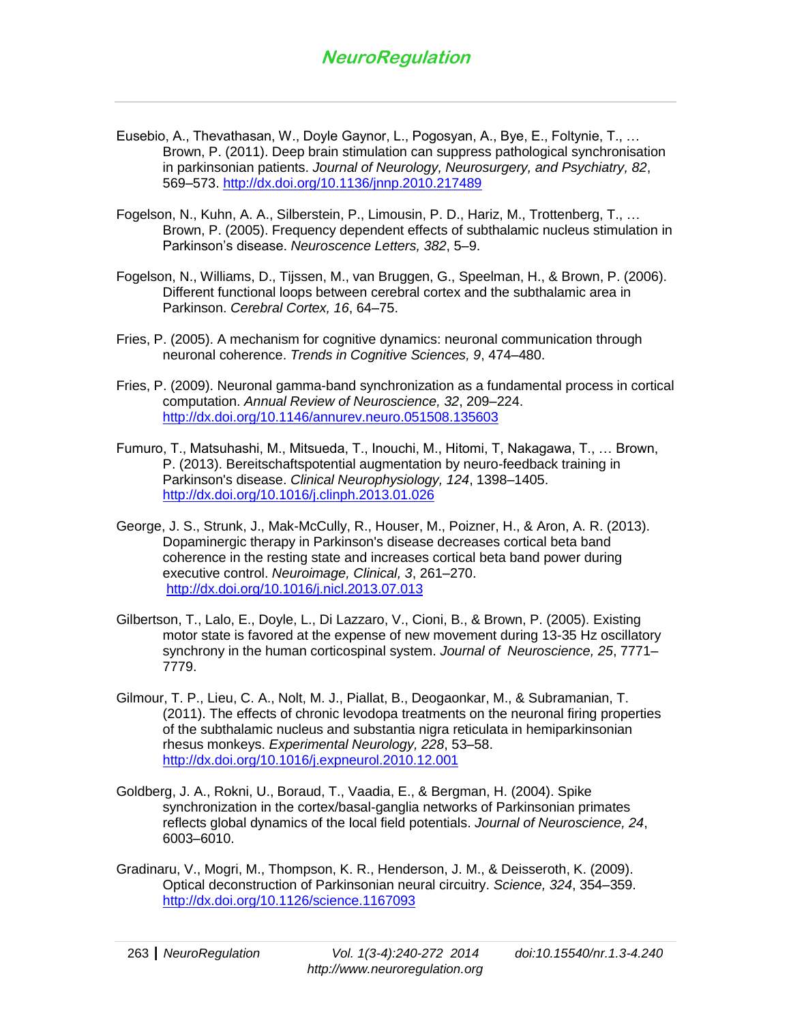- Eusebio, A., Thevathasan, W., Doyle Gaynor, L., Pogosyan, A., Bye, E., Foltynie, T., … Brown, P. (2011). Deep brain stimulation can suppress pathological synchronisation in parkinsonian patients. *Journal of Neurology, Neurosurgery, and Psychiatry, 82*, 569–573.<http://dx.doi.org/10.1136/jnnp.2010.217489>
- Fogelson, N., Kuhn, A. A., Silberstein, P., Limousin, P. D., Hariz, M., Trottenberg, T., … Brown, P. (2005). Frequency dependent effects of subthalamic nucleus stimulation in Parkinson's disease. *Neuroscence Letters, 382*, 5–9.
- Fogelson, N., Williams, D., Tijssen, M., van Bruggen, G., Speelman, H., & Brown, P. (2006). Different functional loops between cerebral cortex and the subthalamic area in Parkinson. *Cerebral Cortex, 16*, 64–75.
- Fries, P. (2005). A mechanism for cognitive dynamics: neuronal communication through neuronal coherence. *Trends in Cognitive Sciences, 9*, 474–480.
- Fries, P. (2009). Neuronal gamma-band synchronization as a fundamental process in cortical computation. *Annual Review of Neuroscience, 32*, 209–224. <http://dx.doi.org/10.1146/annurev.neuro.051508.135603>
- Fumuro, T., Matsuhashi, M., Mitsueda, T., Inouchi, M., Hitomi, T, Nakagawa, T., … Brown, P. (2013). Bereitschaftspotential augmentation by neuro-feedback training in Parkinson's disease. *Clinical Neurophysiology, 124*, 1398–1405. <http://dx.doi.org/10.1016/j.clinph.2013.01.026>
- George, J. S., Strunk, J., Mak-McCully, R., Houser, M., Poizner, H., & Aron, A. R. (2013). Dopaminergic therapy in Parkinson's disease decreases cortical beta band coherence in the resting state and increases cortical beta band power during executive control. *Neuroimage, Clinical, 3*, 261–270. <http://dx.doi.org/10.1016/j.nicl.2013.07.013>
- Gilbertson, T., Lalo, E., Doyle, L., Di Lazzaro, V., Cioni, B., & Brown, P. (2005). Existing motor state is favored at the expense of new movement during 13-35 Hz oscillatory synchrony in the human corticospinal system. *Journal of Neuroscience, 25*, 7771– 7779.
- Gilmour, T. P., Lieu, C. A., Nolt, M. J., Piallat, B., Deogaonkar, M., & Subramanian, T. (2011). The effects of chronic levodopa treatments on the neuronal firing properties of the subthalamic nucleus and substantia nigra reticulata in hemiparkinsonian rhesus monkeys. *Experimental Neurology, 228*, 53–58. <http://dx.doi.org/10.1016/j.expneurol.2010.12.001>
- Goldberg, J. A., Rokni, U., Boraud, T., Vaadia, E., & Bergman, H. (2004). Spike synchronization in the cortex/basal-ganglia networks of Parkinsonian primates reflects global dynamics of the local field potentials. *Journal of Neuroscience, 24*, 6003–6010.
- Gradinaru, V., Mogri, M., Thompson, K. R., Henderson, J. M., & Deisseroth, K. (2009). Optical deconstruction of Parkinsonian neural circuitry. *Science, 324*, 354–359. <http://dx.doi.org/10.1126/science.1167093>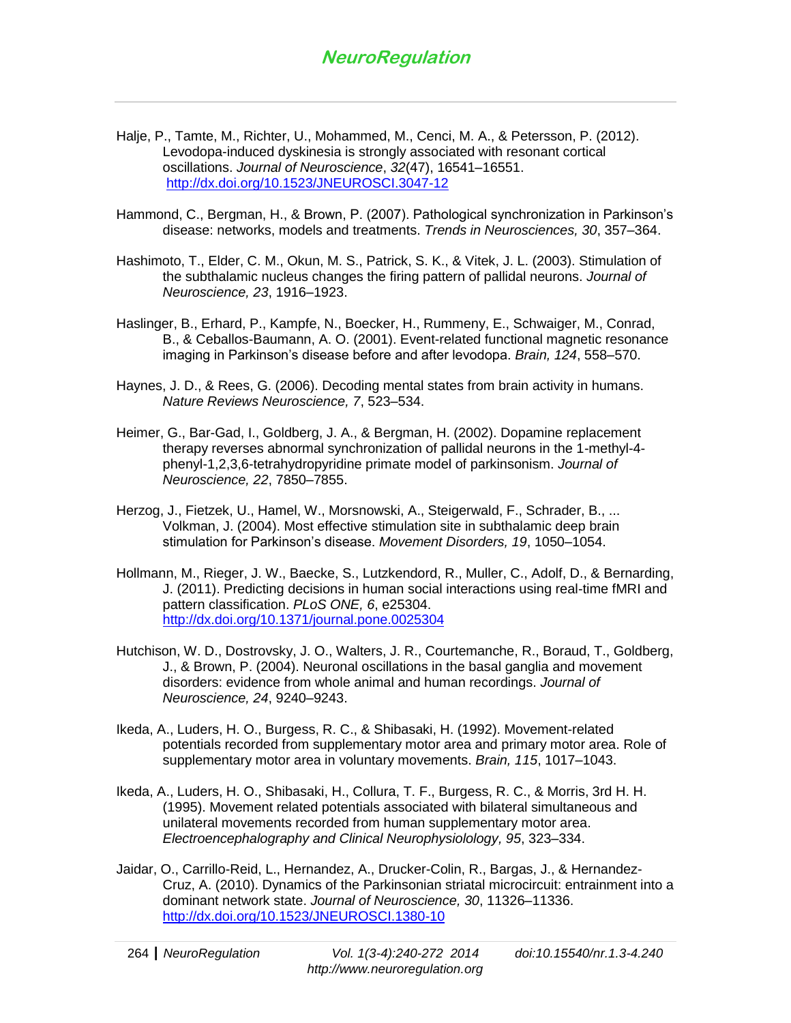- Halje, P., Tamte, M., Richter, U., Mohammed, M., Cenci, M. A., & Petersson, P. (2012). Levodopa-induced dyskinesia is strongly associated with resonant cortical oscillations. *Journal of Neuroscience*, *32*(47), 16541–16551. <http://dx.doi.org/10.1523/JNEUROSCI.3047-12>
- Hammond, C., Bergman, H., & Brown, P. (2007). Pathological synchronization in Parkinson's disease: networks, models and treatments. *Trends in Neurosciences, 30*, 357–364.
- Hashimoto, T., Elder, C. M., Okun, M. S., Patrick, S. K., & Vitek, J. L. (2003). Stimulation of the subthalamic nucleus changes the firing pattern of pallidal neurons. *Journal of Neuroscience, 23*, 1916–1923.
- Haslinger, B., Erhard, P., Kampfe, N., Boecker, H., Rummeny, E., Schwaiger, M., Conrad, B., & Ceballos-Baumann, A. O. (2001). Event-related functional magnetic resonance imaging in Parkinson's disease before and after levodopa. *Brain, 124*, 558–570.
- Haynes, J. D., & Rees, G. (2006). Decoding mental states from brain activity in humans. *Nature Reviews Neuroscience, 7*, 523–534.
- Heimer, G., Bar-Gad, I., Goldberg, J. A., & Bergman, H. (2002). Dopamine replacement therapy reverses abnormal synchronization of pallidal neurons in the 1-methyl-4 phenyl-1,2,3,6-tetrahydropyridine primate model of parkinsonism. *Journal of Neuroscience, 22*, 7850–7855.
- Herzog, J., Fietzek, U., Hamel, W., Morsnowski, A., Steigerwald, F., Schrader, B., ... Volkman, J. (2004). Most effective stimulation site in subthalamic deep brain stimulation for Parkinson's disease. *Movement Disorders, 19*, 1050–1054.
- Hollmann, M., Rieger, J. W., Baecke, S., Lutzkendord, R., Muller, C., Adolf, D., & Bernarding, J. (2011). Predicting decisions in human social interactions using real-time fMRI and pattern classification. *PLoS ONE, 6*, e25304. <http://dx.doi.org/10.1371/journal.pone.0025304>
- Hutchison, W. D., Dostrovsky, J. O., Walters, J. R., Courtemanche, R., Boraud, T., Goldberg, J., & Brown, P. (2004). Neuronal oscillations in the basal ganglia and movement disorders: evidence from whole animal and human recordings. *Journal of Neuroscience, 24*, 9240–9243.
- Ikeda, A., Luders, H. O., Burgess, R. C., & Shibasaki, H. (1992). Movement-related potentials recorded from supplementary motor area and primary motor area. Role of supplementary motor area in voluntary movements. *Brain, 115*, 1017–1043.
- Ikeda, A., Luders, H. O., Shibasaki, H., Collura, T. F., Burgess, R. C., & Morris, 3rd H. H. (1995). Movement related potentials associated with bilateral simultaneous and unilateral movements recorded from human supplementary motor area. *Electroencephalography and Clinical Neurophysiolology, 95*, 323–334.
- Jaidar, O., Carrillo-Reid, L., Hernandez, A., Drucker-Colin, R., Bargas, J., & Hernandez-Cruz, A. (2010). Dynamics of the Parkinsonian striatal microcircuit: entrainment into a dominant network state. *Journal of Neuroscience, 30*, 11326–11336. <http://dx.doi.org/10.1523/JNEUROSCI.1380-10>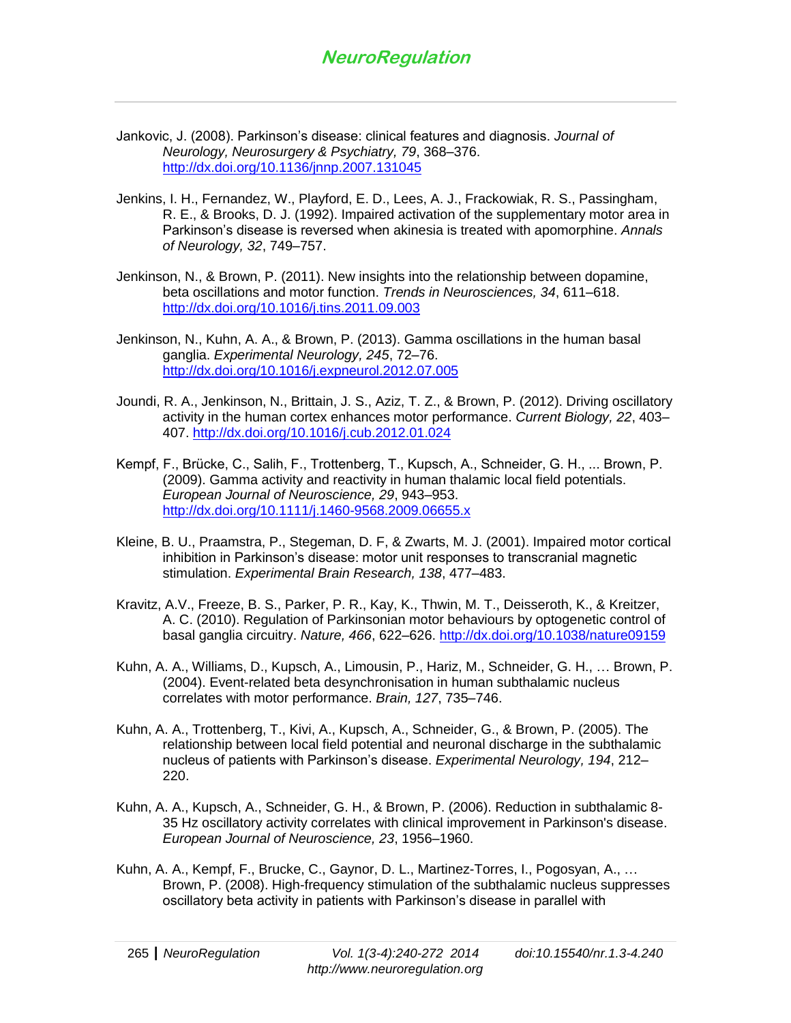- Jankovic, J. (2008). Parkinson's disease: clinical features and diagnosis. *Journal of Neurology, Neurosurgery & Psychiatry, 79*, 368–376. <http://dx.doi.org/10.1136/jnnp.2007.131045>
- Jenkins, I. H., Fernandez, W., Playford, E. D., Lees, A. J., Frackowiak, R. S., Passingham, R. E., & Brooks, D. J. (1992). Impaired activation of the supplementary motor area in Parkinson's disease is reversed when akinesia is treated with apomorphine. *Annals of Neurology, 32*, 749–757.
- Jenkinson, N., & Brown, P. (2011). New insights into the relationship between dopamine, beta oscillations and motor function. *Trends in Neurosciences, 34*, 611–618. <http://dx.doi.org/10.1016/j.tins.2011.09.003>
- Jenkinson, N., Kuhn, A. A., & Brown, P. (2013). Gamma oscillations in the human basal ganglia. *Experimental Neurology, 245*, 72–76. <http://dx.doi.org/10.1016/j.expneurol.2012.07.005>
- Joundi, R. A., Jenkinson, N., Brittain, J. S., Aziz, T. Z., & Brown, P. (2012). Driving oscillatory activity in the human cortex enhances motor performance. *Current Biology, 22*, 403– 407.<http://dx.doi.org/10.1016/j.cub.2012.01.024>
- Kempf, F., Brücke, C., Salih, F., Trottenberg, T., Kupsch, A., Schneider, G. H., ... Brown, P. (2009). Gamma activity and reactivity in human thalamic local field potentials. *European Journal of Neuroscience, 29*, 943–953. <http://dx.doi.org/10.1111/j.1460-9568.2009.06655.x>
- Kleine, B. U., Praamstra, P., Stegeman, D. F, & Zwarts, M. J. (2001). Impaired motor cortical inhibition in Parkinson's disease: motor unit responses to transcranial magnetic stimulation. *Experimental Brain Research, 138*, 477–483.
- Kravitz, A.V., Freeze, B. S., Parker, P. R., Kay, K., Thwin, M. T., Deisseroth, K., & Kreitzer, A. C. (2010). Regulation of Parkinsonian motor behaviours by optogenetic control of basal ganglia circuitry. *Nature, 466*, 622–626.<http://dx.doi.org/10.1038/nature09159>
- Kuhn, A. A., Williams, D., Kupsch, A., Limousin, P., Hariz, M., Schneider, G. H., … Brown, P. (2004). Event-related beta desynchronisation in human subthalamic nucleus correlates with motor performance. *Brain, 127*, 735–746.
- Kuhn, A. A., Trottenberg, T., Kivi, A., Kupsch, A., Schneider, G., & Brown, P. (2005). The relationship between local field potential and neuronal discharge in the subthalamic nucleus of patients with Parkinson's disease. *Experimental Neurology, 194*, 212– 220.
- Kuhn, A. A., Kupsch, A., Schneider, G. H., & Brown, P. (2006). Reduction in subthalamic 8- 35 Hz oscillatory activity correlates with clinical improvement in Parkinson's disease. *European Journal of Neuroscience, 23*, 1956–1960.
- Kuhn, A. A., Kempf, F., Brucke, C., Gaynor, D. L., Martinez-Torres, I., Pogosyan, A., … Brown, P. (2008). High-frequency stimulation of the subthalamic nucleus suppresses oscillatory beta activity in patients with Parkinson's disease in parallel with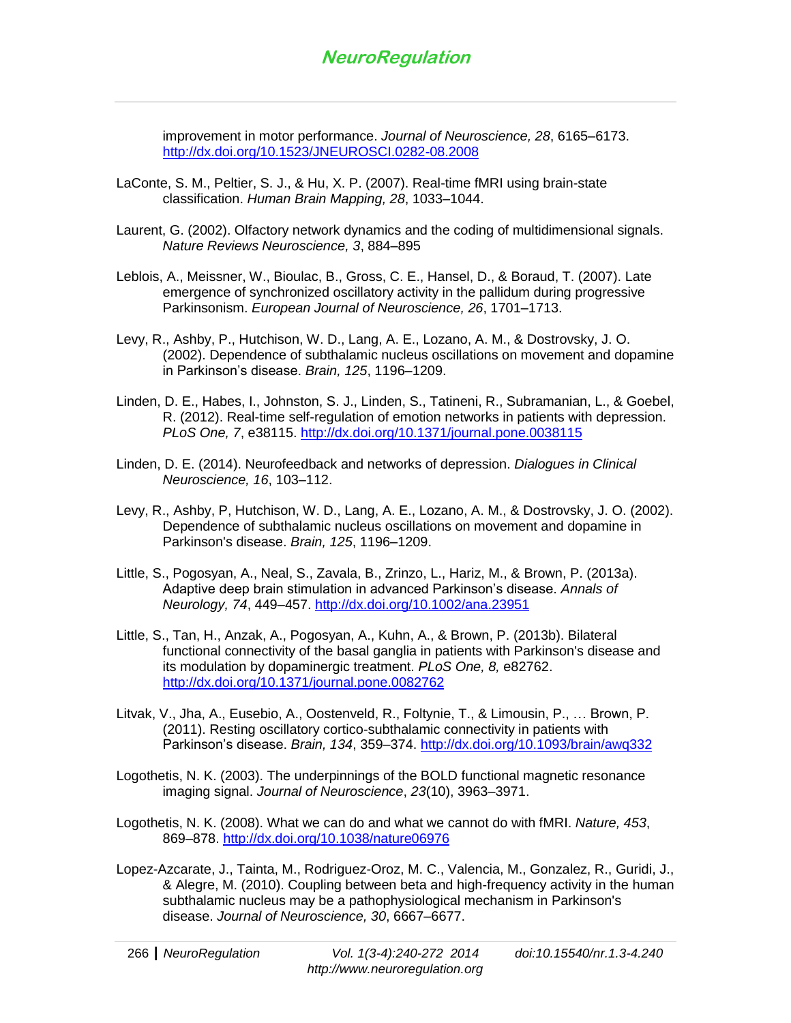improvement in motor performance. *Journal of Neuroscience, 28*, 6165–6173. <http://dx.doi.org/10.1523/JNEUROSCI.0282-08.2008>

- LaConte, S. M., Peltier, S. J., & Hu, X. P. (2007). Real-time fMRI using brain-state classification. *Human Brain Mapping, 28*, 1033–1044.
- Laurent, G. (2002). Olfactory network dynamics and the coding of multidimensional signals. *Nature Reviews Neuroscience, 3*, 884–895
- Leblois, A., Meissner, W., Bioulac, B., Gross, C. E., Hansel, D., & Boraud, T. (2007). Late emergence of synchronized oscillatory activity in the pallidum during progressive Parkinsonism. *European Journal of Neuroscience, 26*, 1701–1713.
- Levy, R., Ashby, P., Hutchison, W. D., Lang, A. E., Lozano, A. M., & Dostrovsky, J. O. (2002). Dependence of subthalamic nucleus oscillations on movement and dopamine in Parkinson's disease. *Brain, 125*, 1196–1209.
- Linden, D. E., Habes, I., Johnston, S. J., Linden, S., Tatineni, R., Subramanian, L., & Goebel, R. (2012). Real-time self-regulation of emotion networks in patients with depression. *PLoS One, 7*, e38115.<http://dx.doi.org/10.1371/journal.pone.0038115>
- Linden, D. E. (2014). Neurofeedback and networks of depression. *Dialogues in Clinical Neuroscience, 16*, 103–112.
- Levy, R., Ashby, P, Hutchison, W. D., Lang, A. E., Lozano, A. M., & Dostrovsky, J. O. (2002). Dependence of subthalamic nucleus oscillations on movement and dopamine in Parkinson's disease. *Brain, 125*, 1196–1209.
- Little, S., Pogosyan, A., Neal, S., Zavala, B., Zrinzo, L., Hariz, M., & Brown, P. (2013a). Adaptive deep brain stimulation in advanced Parkinson's disease. *Annals of Neurology, 74*, 449–457.<http://dx.doi.org/10.1002/ana.23951>
- Little, S., Tan, H., Anzak, A., Pogosyan, A., Kuhn, A., & Brown, P. (2013b). Bilateral functional connectivity of the basal ganglia in patients with Parkinson's disease and its modulation by dopaminergic treatment. *PLoS One, 8,* e82762. <http://dx.doi.org/10.1371/journal.pone.0082762>
- Litvak, V., Jha, A., Eusebio, A., Oostenveld, R., Foltynie, T., & Limousin, P., … Brown, P. (2011). Resting oscillatory cortico-subthalamic connectivity in patients with Parkinson's disease. *Brain, 134*, 359–374.<http://dx.doi.org/10.1093/brain/awq332>
- Logothetis, N. K. (2003). The underpinnings of the BOLD functional magnetic resonance imaging signal. *Journal of Neuroscience*, *23*(10), 3963–3971.
- Logothetis, N. K. (2008). What we can do and what we cannot do with fMRI. *Nature, 453*, 869–878.<http://dx.doi.org/10.1038/nature06976>
- Lopez-Azcarate, J., Tainta, M., Rodriguez-Oroz, M. C., Valencia, M., Gonzalez, R., Guridi, J., & Alegre, M. (2010). Coupling between beta and high-frequency activity in the human subthalamic nucleus may be a pathophysiological mechanism in Parkinson's disease. *Journal of Neuroscience, 30*, 6667–6677.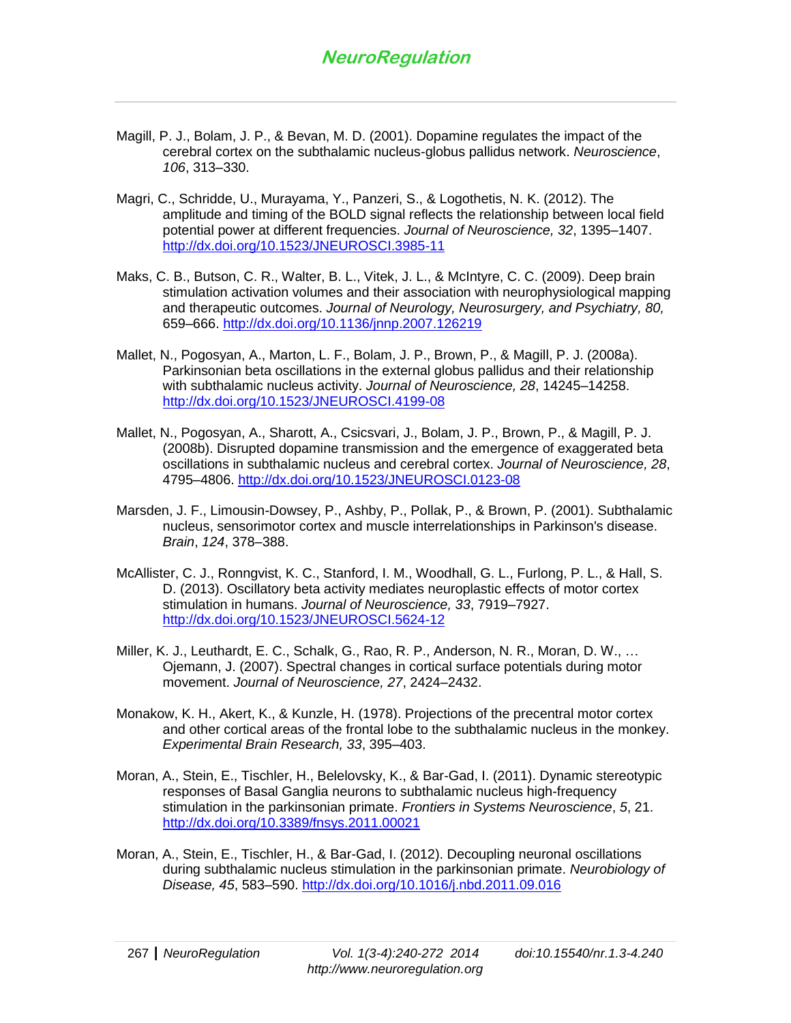- Magill, P. J., Bolam, J. P., & Bevan, M. D. (2001). Dopamine regulates the impact of the cerebral cortex on the subthalamic nucleus-globus pallidus network. *Neuroscience*, *106*, 313–330.
- Magri, C., Schridde, U., Murayama, Y., Panzeri, S., & Logothetis, N. K. (2012). The amplitude and timing of the BOLD signal reflects the relationship between local field potential power at different frequencies. *Journal of Neuroscience, 32*, 1395–1407. <http://dx.doi.org/10.1523/JNEUROSCI.3985-11>
- Maks, C. B., Butson, C. R., Walter, B. L., Vitek, J. L., & McIntyre, C. C. (2009). Deep brain stimulation activation volumes and their association with neurophysiological mapping and therapeutic outcomes. *Journal of Neurology, Neurosurgery, and Psychiatry, 80,* 659–666.<http://dx.doi.org/10.1136/jnnp.2007.126219>
- Mallet, N., Pogosyan, A., Marton, L. F., Bolam, J. P., Brown, P., & Magill, P. J. (2008a). Parkinsonian beta oscillations in the external globus pallidus and their relationship with subthalamic nucleus activity. *Journal of Neuroscience, 28*, 14245–14258. <http://dx.doi.org/10.1523/JNEUROSCI.4199-08>
- Mallet, N., Pogosyan, A., Sharott, A., Csicsvari, J., Bolam, J. P., Brown, P., & Magill, P. J. (2008b). Disrupted dopamine transmission and the emergence of exaggerated beta oscillations in subthalamic nucleus and cerebral cortex. *Journal of Neuroscience, 28*, 4795–4806.<http://dx.doi.org/10.1523/JNEUROSCI.0123-08>
- Marsden, J. F., Limousin-Dowsey, P., Ashby, P., Pollak, P., & Brown, P. (2001). Subthalamic nucleus, sensorimotor cortex and muscle interrelationships in Parkinson's disease. *Brain*, *124*, 378–388.
- McAllister, C. J., Ronngvist, K. C., Stanford, I. M., Woodhall, G. L., Furlong, P. L., & Hall, S. D. (2013). Oscillatory beta activity mediates neuroplastic effects of motor cortex stimulation in humans. *Journal of Neuroscience, 33*, 7919–7927. <http://dx.doi.org/10.1523/JNEUROSCI.5624-12>
- Miller, K. J., Leuthardt, E. C., Schalk, G., Rao, R. P., Anderson, N. R., Moran, D. W., … Ojemann, J. (2007). Spectral changes in cortical surface potentials during motor movement. *Journal of Neuroscience, 27*, 2424–2432.
- Monakow, K. H., Akert, K., & Kunzle, H. (1978). Projections of the precentral motor cortex and other cortical areas of the frontal lobe to the subthalamic nucleus in the monkey. *Experimental Brain Research, 33*, 395–403.
- Moran, A., Stein, E., Tischler, H., Belelovsky, K., & Bar-Gad, I. (2011). Dynamic stereotypic responses of Basal Ganglia neurons to subthalamic nucleus high-frequency stimulation in the parkinsonian primate. *Frontiers in Systems Neuroscience*, *5*, 21. <http://dx.doi.org/10.3389/fnsys.2011.00021>
- Moran, A., Stein, E., Tischler, H., & Bar-Gad, I. (2012). Decoupling neuronal oscillations during subthalamic nucleus stimulation in the parkinsonian primate. *Neurobiology of Disease, 45*, 583–590.<http://dx.doi.org/10.1016/j.nbd.2011.09.016>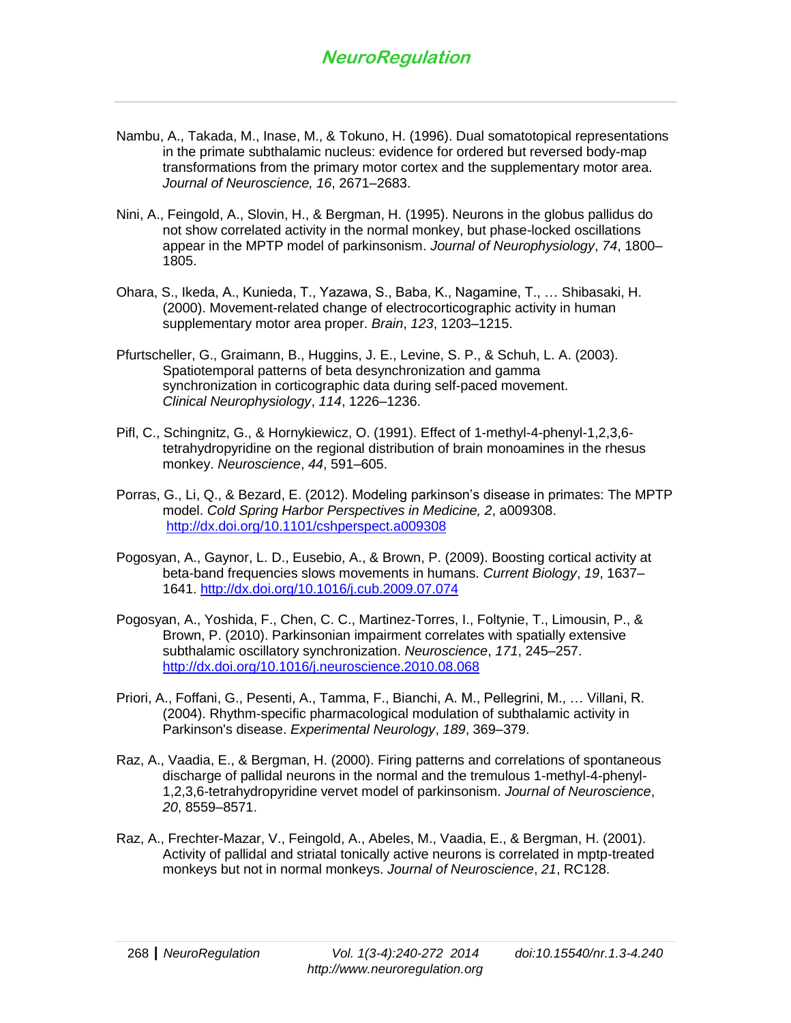- Nambu, A., Takada, M., Inase, M., & Tokuno, H. (1996). Dual somatotopical representations in the primate subthalamic nucleus: evidence for ordered but reversed body-map transformations from the primary motor cortex and the supplementary motor area. *Journal of Neuroscience, 16*, 2671–2683.
- Nini, A., Feingold, A., Slovin, H., & Bergman, H. (1995). Neurons in the globus pallidus do not show correlated activity in the normal monkey, but phase-locked oscillations appear in the MPTP model of parkinsonism. *Journal of Neurophysiology*, *74*, 1800– 1805.
- Ohara, S., Ikeda, A., Kunieda, T., Yazawa, S., Baba, K., Nagamine, T., … Shibasaki, H. (2000). Movement-related change of electrocorticographic activity in human supplementary motor area proper. *Brain*, *123*, 1203–1215.
- Pfurtscheller, G., Graimann, B., Huggins, J. E., Levine, S. P., & Schuh, L. A. (2003). Spatiotemporal patterns of beta desynchronization and gamma synchronization in corticographic data during self-paced movement. *Clinical Neurophysiology*, *114*, 1226–1236.
- Pifl, C., Schingnitz, G., & Hornykiewicz, O. (1991). Effect of 1-methyl-4-phenyl-1,2,3,6 tetrahydropyridine on the regional distribution of brain monoamines in the rhesus monkey. *Neuroscience*, *44*, 591–605.
- Porras, G., Li, Q., & Bezard, E. (2012). Modeling parkinson's disease in primates: The MPTP model. *Cold Spring Harbor Perspectives in Medicine, 2*, a009308. <http://dx.doi.org/10.1101/cshperspect.a009308>
- Pogosyan, A., Gaynor, L. D., Eusebio, A., & Brown, P. (2009). Boosting cortical activity at beta-band frequencies slows movements in humans. *Current Biology*, *19*, 1637– 1641.<http://dx.doi.org/10.1016/j.cub.2009.07.074>
- Pogosyan, A., Yoshida, F., Chen, C. C., Martinez-Torres, I., Foltynie, T., Limousin, P., & Brown, P. (2010). Parkinsonian impairment correlates with spatially extensive subthalamic oscillatory synchronization. *Neuroscience*, *171*, 245–257. <http://dx.doi.org/10.1016/j.neuroscience.2010.08.068>
- Priori, A., Foffani, G., Pesenti, A., Tamma, F., Bianchi, A. M., Pellegrini, M., … Villani, R. (2004). Rhythm-specific pharmacological modulation of subthalamic activity in Parkinson's disease. *Experimental Neurology*, *189*, 369–379.
- Raz, A., Vaadia, E., & Bergman, H. (2000). Firing patterns and correlations of spontaneous discharge of pallidal neurons in the normal and the tremulous 1-methyl-4-phenyl-1,2,3,6-tetrahydropyridine vervet model of parkinsonism. *Journal of Neuroscience*, *20*, 8559–8571.
- Raz, A., Frechter-Mazar, V., Feingold, A., Abeles, M., Vaadia, E., & Bergman, H. (2001). Activity of pallidal and striatal tonically active neurons is correlated in mptp-treated monkeys but not in normal monkeys. *Journal of Neuroscience*, *21*, RC128.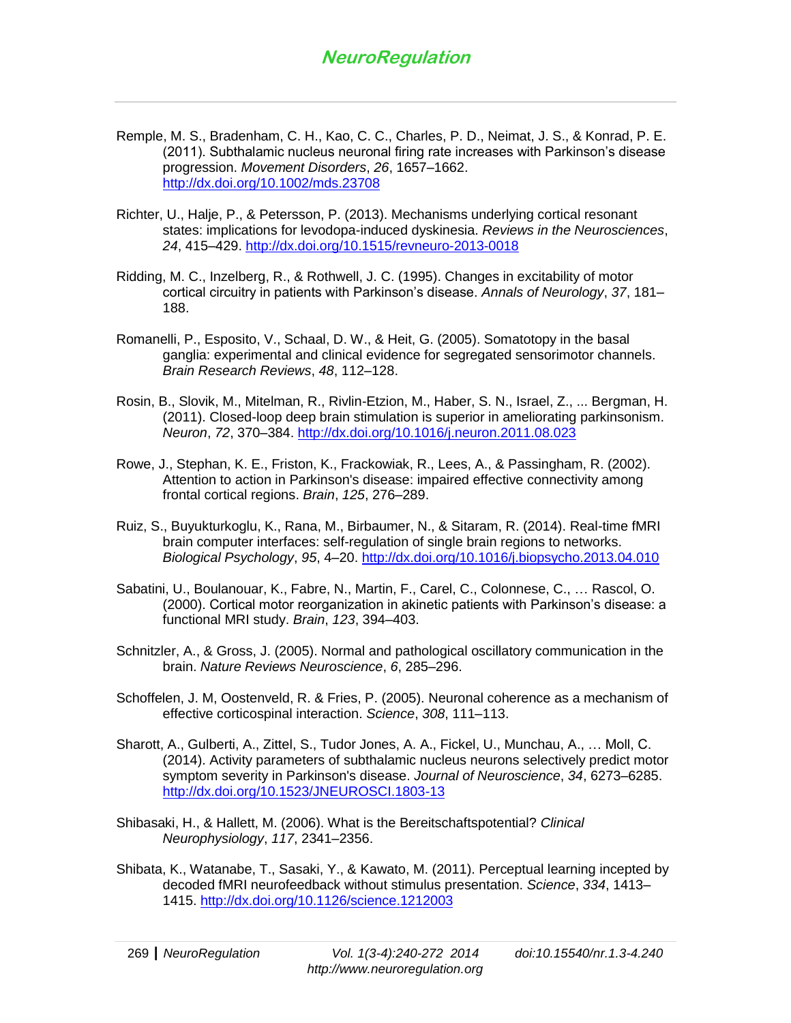- Remple, M. S., Bradenham, C. H., Kao, C. C., Charles, P. D., Neimat, J. S., & Konrad, P. E. (2011). Subthalamic nucleus neuronal firing rate increases with Parkinson's disease progression. *Movement Disorders*, *26*, 1657–1662. <http://dx.doi.org/10.1002/mds.23708>
- Richter, U., Halje, P., & Petersson, P. (2013). Mechanisms underlying cortical resonant states: implications for levodopa-induced dyskinesia. *Reviews in the Neurosciences*, *24*, 415–429.<http://dx.doi.org/10.1515/revneuro-2013-0018>
- Ridding, M. C., Inzelberg, R., & Rothwell, J. C. (1995). Changes in excitability of motor cortical circuitry in patients with Parkinson's disease. *Annals of Neurology*, *37*, 181– 188.
- Romanelli, P., Esposito, V., Schaal, D. W., & Heit, G. (2005). Somatotopy in the basal ganglia: experimental and clinical evidence for segregated sensorimotor channels. *Brain Research Reviews*, *48*, 112–128.
- Rosin, B., Slovik, M., Mitelman, R., Rivlin-Etzion, M., Haber, S. N., Israel, Z., ... Bergman, H. (2011). Closed-loop deep brain stimulation is superior in ameliorating parkinsonism. *Neuron*, *72*, 370–384.<http://dx.doi.org/10.1016/j.neuron.2011.08.023>
- Rowe, J., Stephan, K. E., Friston, K., Frackowiak, R., Lees, A., & Passingham, R. (2002). Attention to action in Parkinson's disease: impaired effective connectivity among frontal cortical regions. *Brain*, *125*, 276–289.
- Ruiz, S., Buyukturkoglu, K., Rana, M., Birbaumer, N., & Sitaram, R. (2014). Real-time fMRI brain computer interfaces: self-regulation of single brain regions to networks. *Biological Psychology*, *95*, 4–20.<http://dx.doi.org/10.1016/j.biopsycho.2013.04.010>
- Sabatini, U., Boulanouar, K., Fabre, N., Martin, F., Carel, C., Colonnese, C., … Rascol, O. (2000). Cortical motor reorganization in akinetic patients with Parkinson's disease: a functional MRI study. *Brain*, *123*, 394–403.
- Schnitzler, A., & Gross, J. (2005). Normal and pathological oscillatory communication in the brain. *Nature Reviews Neuroscience*, *6*, 285–296.
- Schoffelen, J. M, Oostenveld, R. & Fries, P. (2005). Neuronal coherence as a mechanism of effective corticospinal interaction. *Science*, *308*, 111–113.
- Sharott, A., Gulberti, A., Zittel, S., Tudor Jones, A. A., Fickel, U., Munchau, A., … Moll, C. (2014). Activity parameters of subthalamic nucleus neurons selectively predict motor symptom severity in Parkinson's disease. *Journal of Neuroscience*, *34*, 6273–6285. <http://dx.doi.org/10.1523/JNEUROSCI.1803-13>
- Shibasaki, H., & Hallett, M. (2006). What is the Bereitschaftspotential? *Clinical Neurophysiology*, *117*, 2341–2356.
- Shibata, K., Watanabe, T., Sasaki, Y., & Kawato, M. (2011). Perceptual learning incepted by decoded fMRI neurofeedback without stimulus presentation. *Science*, *334*, 1413– 1415.<http://dx.doi.org/10.1126/science.1212003>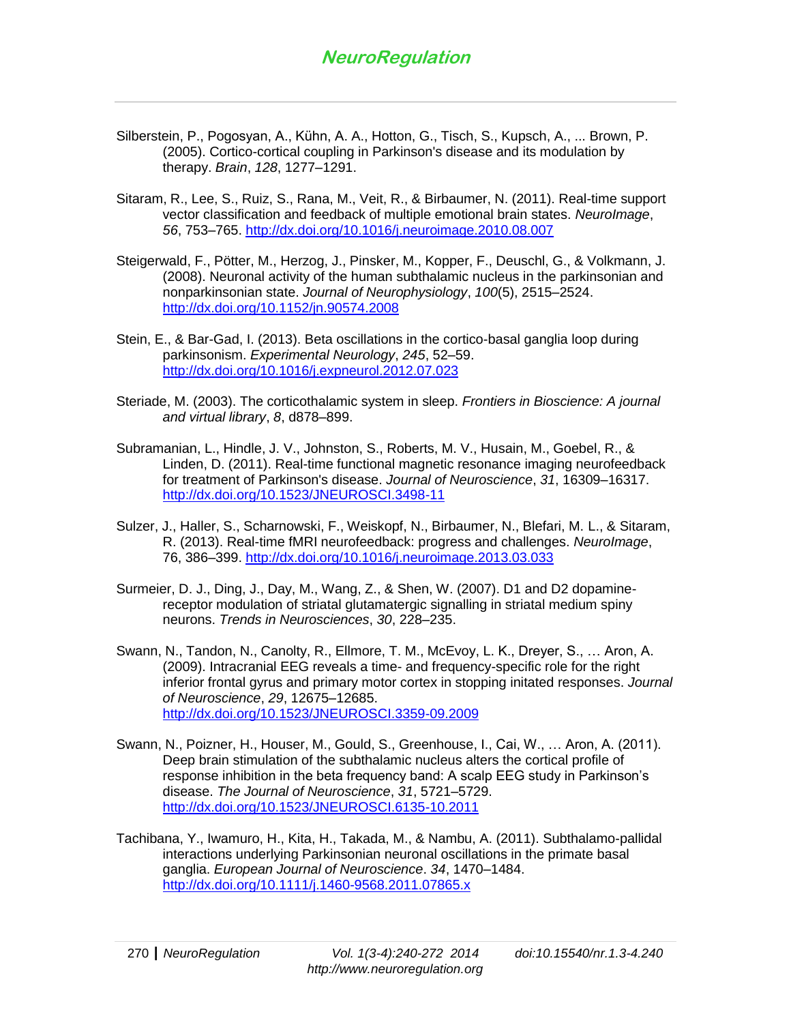- Silberstein, P., Pogosyan, A., Kühn, A. A., Hotton, G., Tisch, S., Kupsch, A., ... Brown, P. (2005). Cortico-cortical coupling in Parkinson's disease and its modulation by therapy. *Brain*, *128*, 1277–1291.
- Sitaram, R., Lee, S., Ruiz, S., Rana, M., Veit, R., & Birbaumer, N. (2011). Real-time support vector classification and feedback of multiple emotional brain states. *NeuroImage*, *56*, 753–765.<http://dx.doi.org/10.1016/j.neuroimage.2010.08.007>
- Steigerwald, F., Pötter, M., Herzog, J., Pinsker, M., Kopper, F., Deuschl, G., & Volkmann, J. (2008). Neuronal activity of the human subthalamic nucleus in the parkinsonian and nonparkinsonian state. *Journal of Neurophysiology*, *100*(5), 2515–2524. <http://dx.doi.org/10.1152/jn.90574.2008>
- Stein, E., & Bar-Gad, I. (2013). Beta oscillations in the cortico-basal ganglia loop during parkinsonism. *Experimental Neurology*, *245*, 52–59. <http://dx.doi.org/10.1016/j.expneurol.2012.07.023>
- Steriade, M. (2003). The corticothalamic system in sleep. *Frontiers in Bioscience: A journal and virtual library*, *8*, d878–899.
- Subramanian, L., Hindle, J. V., Johnston, S., Roberts, M. V., Husain, M., Goebel, R., & Linden, D. (2011). Real-time functional magnetic resonance imaging neurofeedback for treatment of Parkinson's disease. *Journal of Neuroscience*, *31*, 16309–16317. <http://dx.doi.org/10.1523/JNEUROSCI.3498-11>
- Sulzer, J., Haller, S., Scharnowski, F., Weiskopf, N., Birbaumer, N., Blefari, M. L., & Sitaram, R. (2013). Real-time fMRI neurofeedback: progress and challenges. *NeuroImage*, 76, 386–399.<http://dx.doi.org/10.1016/j.neuroimage.2013.03.033>
- Surmeier, D. J., Ding, J., Day, M., Wang, Z., & Shen, W. (2007). D1 and D2 dopaminereceptor modulation of striatal glutamatergic signalling in striatal medium spiny neurons. *Trends in Neurosciences*, *30*, 228–235.
- Swann, N., Tandon, N., Canolty, R., Ellmore, T. M., McEvoy, L. K., Dreyer, S., … Aron, A. (2009). Intracranial EEG reveals a time- and frequency-specific role for the right inferior frontal gyrus and primary motor cortex in stopping initated responses. *Journal of Neuroscience*, *29*, 12675–12685. <http://dx.doi.org/10.1523/JNEUROSCI.3359-09.2009>
- Swann, N., Poizner, H., Houser, M., Gould, S., Greenhouse, I., Cai, W., … Aron, A. (2011). Deep brain stimulation of the subthalamic nucleus alters the cortical profile of response inhibition in the beta frequency band: A scalp EEG study in Parkinson's disease. *The Journal of Neuroscience*, *31*, 5721–5729. <http://dx.doi.org/10.1523/JNEUROSCI.6135-10.2011>
- Tachibana, Y., Iwamuro, H., Kita, H., Takada, M., & Nambu, A. (2011). Subthalamo-pallidal interactions underlying Parkinsonian neuronal oscillations in the primate basal ganglia. *European Journal of Neuroscience*. *34*, 1470–1484. <http://dx.doi.org/10.1111/j.1460-9568.2011.07865.x>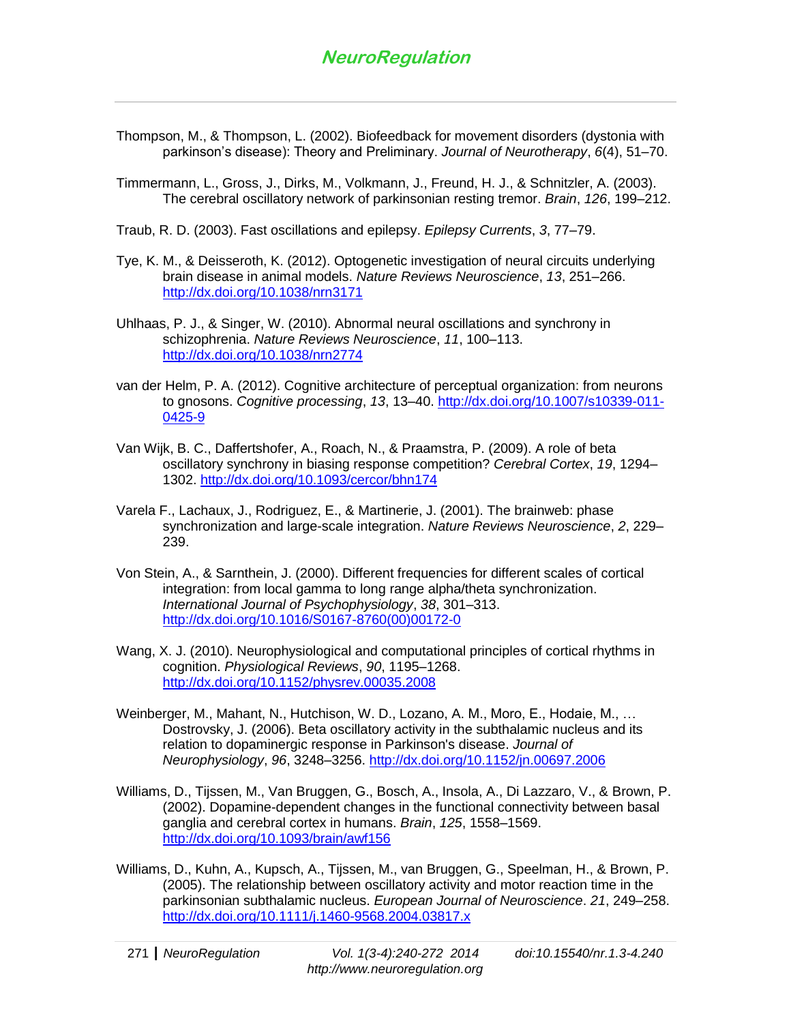- Thompson, M., & Thompson, L. (2002). Biofeedback for movement disorders (dystonia with parkinson's disease): Theory and Preliminary. *Journal of Neurotherapy*, *6*(4), 51–70.
- Timmermann, L., Gross, J., Dirks, M., Volkmann, J., Freund, H. J., & Schnitzler, A. (2003). The cerebral oscillatory network of parkinsonian resting tremor. *Brain*, *126*, 199–212.
- Traub, R. D. (2003). Fast oscillations and epilepsy. *Epilepsy Currents*, *3*, 77–79.
- Tye, K. M., & Deisseroth, K. (2012). Optogenetic investigation of neural circuits underlying brain disease in animal models. *Nature Reviews Neuroscience*, *13*, 251–266. <http://dx.doi.org/10.1038/nrn3171>
- Uhlhaas, P. J., & Singer, W. (2010). Abnormal neural oscillations and synchrony in schizophrenia. *Nature Reviews Neuroscience*, *11*, 100–113. <http://dx.doi.org/10.1038/nrn2774>
- van der Helm, P. A. (2012). Cognitive architecture of perceptual organization: from neurons to gnosons. *Cognitive processing*, *13*, 13–40. [http://dx.doi.org/10.1007/s10339-011-](http://dx.doi.org/10.1007/s10339-011-0425-9) [0425-9](http://dx.doi.org/10.1007/s10339-011-0425-9)
- Van Wijk, B. C., Daffertshofer, A., Roach, N., & Praamstra, P. (2009). A role of beta oscillatory synchrony in biasing response competition? *Cerebral Cortex*, *19*, 1294– 1302.<http://dx.doi.org/10.1093/cercor/bhn174>
- Varela F., Lachaux, J., Rodriguez, E., & Martinerie, J. (2001). The brainweb: phase synchronization and large-scale integration. *Nature Reviews Neuroscience*, *2*, 229– 239.
- Von Stein, A., & Sarnthein, J. (2000). Different frequencies for different scales of cortical integration: from local gamma to long range alpha/theta synchronization. *International Journal of Psychophysiology*, *38*, 301–313. [http://dx.doi.org/10.1016/S0167-8760\(00\)00172-0](http://dx.doi.org/10.1016/S0167-8760%2800%2900172-0)
- Wang, X. J. (2010). Neurophysiological and computational principles of cortical rhythms in cognition. *Physiological Reviews*, *90*, 1195–1268. <http://dx.doi.org/10.1152/physrev.00035.2008>
- Weinberger, M., Mahant, N., Hutchison, W. D., Lozano, A. M., Moro, E., Hodaie, M., … Dostrovsky, J. (2006). Beta oscillatory activity in the subthalamic nucleus and its relation to dopaminergic response in Parkinson's disease. *Journal of Neurophysiology*, *96*, 3248–3256.<http://dx.doi.org/10.1152/jn.00697.2006>
- Williams, D., Tijssen, M., Van Bruggen, G., Bosch, A., Insola, A., Di Lazzaro, V., & Brown, P. (2002). Dopamine-dependent changes in the functional connectivity between basal ganglia and cerebral cortex in humans. *Brain*, *125*, 1558–1569. <http://dx.doi.org/10.1093/brain/awf156>
- Williams, D., Kuhn, A., Kupsch, A., Tijssen, M., van Bruggen, G., Speelman, H., & Brown, P. (2005). The relationship between oscillatory activity and motor reaction time in the parkinsonian subthalamic nucleus. *European Journal of Neuroscience*. *21*, 249–258. <http://dx.doi.org/10.1111/j.1460-9568.2004.03817.x>